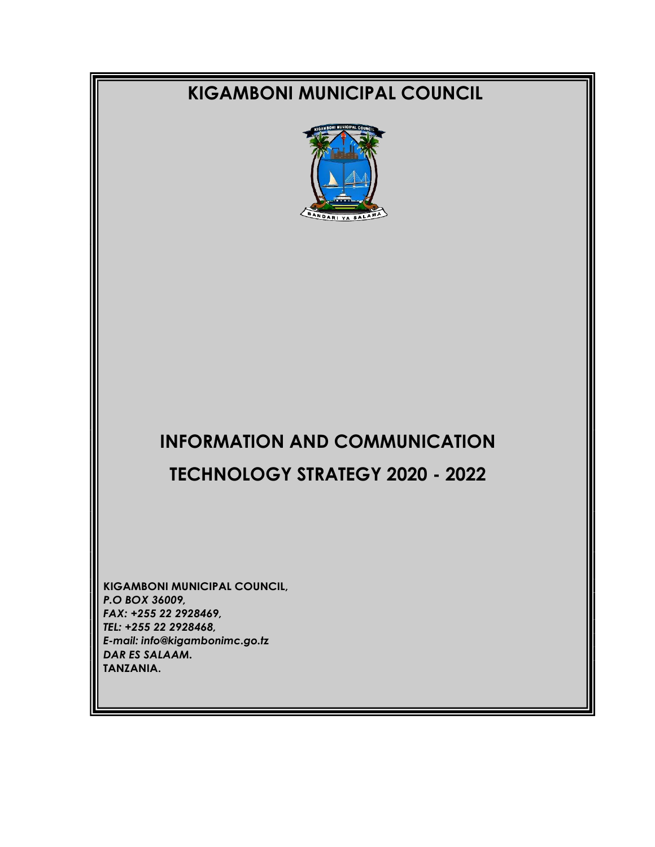# **KIGAMBONI MUNICIPAL COUNCIL**



# **INFORMATION AND COMMUNICATION TECHNOLOGY STRATEGY 2020 - 2022**

**KIGAMBONI MUNICIPAL COUNCIL,** *P.O BOX 36009, FAX: +255 22 2928469, TEL: +255 22 2928468, E-mail: info@kigambonimc.go.tz DAR ES SALAAM.* **TANZANIA.**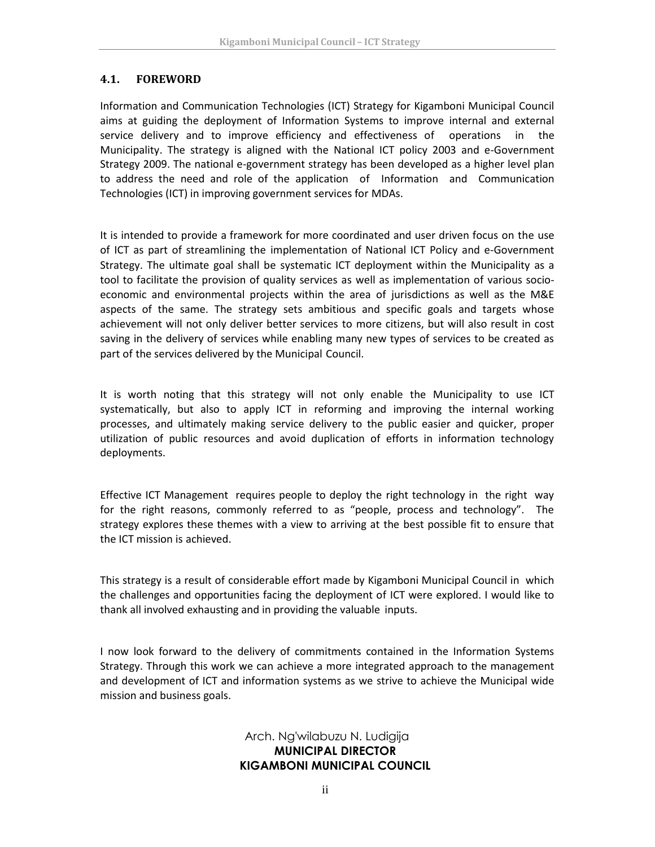#### <span id="page-1-0"></span>**4.1. FOREWORD**

**2020**

Information and Communication Technologies (ICT) Strategy for Kigamboni Municipal Council aims at guiding the deployment of Information Systems to improve internal and external service delivery and to improve efficiency and effectiveness of operations in the Municipality. The strategy is aligned with the National ICT policy 2003 and e-Government Strategy 2009. The national e-government strategy has been developed as a higher level plan to address the need and role of the application of Information and Communication Technologies (ICT) in improving government services for MDAs.

It is intended to provide a framework for more coordinated and user driven focus on the use of ICT as part of streamlining the implementation of National ICT Policy and e-Government Strategy. The ultimate goal shall be systematic ICT deployment within the Municipality as a tool to facilitate the provision of quality services as well as implementation of various socioeconomic and environmental projects within the area of jurisdictions as well as the M&E aspects of the same. The strategy sets ambitious and specific goals and targets whose achievement will not only deliver better services to more citizens, but will also result in cost saving in the delivery of services while enabling many new types of services to be created as part of the services delivered by the Municipal Council.

It is worth noting that this strategy will not only enable the Municipality to use ICT systematically, but also to apply ICT in reforming and improving the internal working processes, and ultimately making service delivery to the public easier and quicker, proper utilization of public resources and avoid duplication of efforts in information technology deployments.

Effective ICT Management requires people to deploy the right technology in the right way for the right reasons, commonly referred to as "people, process and technology". The strategy explores these themes with a view to arriving at the best possible fit to ensure that the ICT mission is achieved.

This strategy is a result of considerable effort made by Kigamboni Municipal Council in which the challenges and opportunities facing the deployment of ICT were explored. I would like to thank all involved exhausting and in providing the valuable inputs.

I now look forward to the delivery of commitments contained in the Information Systems Strategy. Through this work we can achieve a more integrated approach to the management and development of ICT and information systems as we strive to achieve the Municipal wide mission and business goals.

#### Arch. Ng'wilabuzu N. Ludigija **MUNICIPAL DIRECTOR KIGAMBONI MUNICIPAL COUNCIL**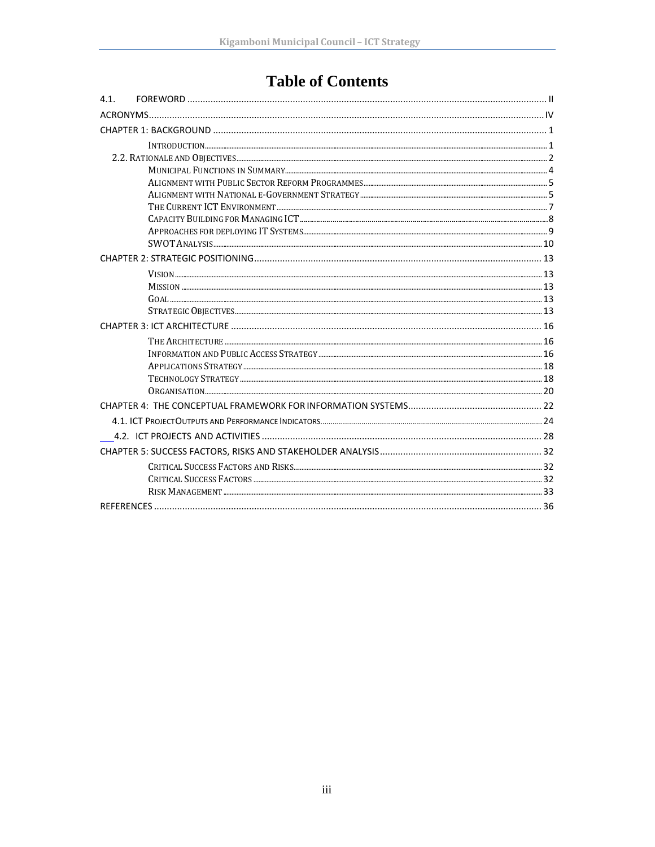# **Table of Contents**

| 4.1. |                       |  |
|------|-----------------------|--|
|      |                       |  |
|      |                       |  |
|      |                       |  |
|      |                       |  |
|      |                       |  |
|      |                       |  |
|      |                       |  |
|      |                       |  |
|      |                       |  |
|      |                       |  |
|      |                       |  |
|      |                       |  |
|      |                       |  |
|      |                       |  |
|      | $G$ OAL $\ldots$ $13$ |  |
|      |                       |  |
|      |                       |  |
|      |                       |  |
|      |                       |  |
|      |                       |  |
|      |                       |  |
|      |                       |  |
|      |                       |  |
|      |                       |  |
|      |                       |  |
|      |                       |  |
|      |                       |  |
|      |                       |  |
|      |                       |  |
|      |                       |  |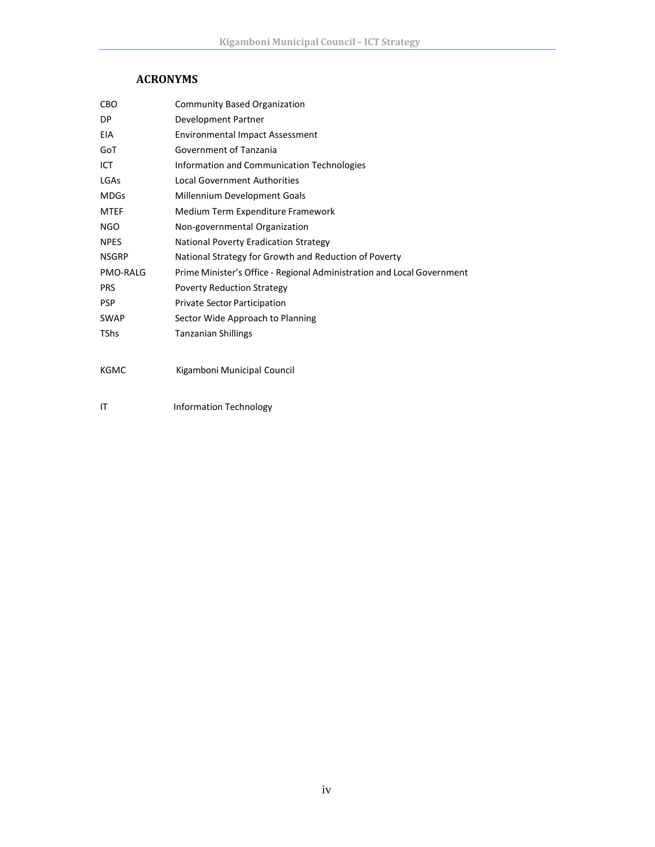# **ACRONYMS**

**2020**

<span id="page-3-0"></span>

| <b>CBO</b>      | <b>Community Based Organization</b>                                    |
|-----------------|------------------------------------------------------------------------|
| DP.             | Development Partner                                                    |
| <b>EIA</b>      | <b>Environmental Impact Assessment</b>                                 |
| GoT             | Government of Tanzania                                                 |
| ICT             | Information and Communication Technologies                             |
| LGAs            | <b>Local Government Authorities</b>                                    |
| <b>MDGs</b>     | Millennium Development Goals                                           |
| <b>MTEF</b>     | Medium Term Expenditure Framework                                      |
| <b>NGO</b>      | Non-governmental Organization                                          |
| <b>NPES</b>     | <b>National Poverty Eradication Strategy</b>                           |
| <b>NSGRP</b>    | National Strategy for Growth and Reduction of Poverty                  |
| <b>PMO-RALG</b> | Prime Minister's Office - Regional Administration and Local Government |
| <b>PRS</b>      | <b>Poverty Reduction Strategy</b>                                      |
| <b>PSP</b>      | <b>Private Sector Participation</b>                                    |
| <b>SWAP</b>     | Sector Wide Approach to Planning                                       |
| <b>TShs</b>     | <b>Tanzanian Shillings</b>                                             |
|                 |                                                                        |
| <b>KGMC</b>     | Kigamboni Municipal Council                                            |
|                 |                                                                        |
| ΙT              | <b>Information Technology</b>                                          |

iv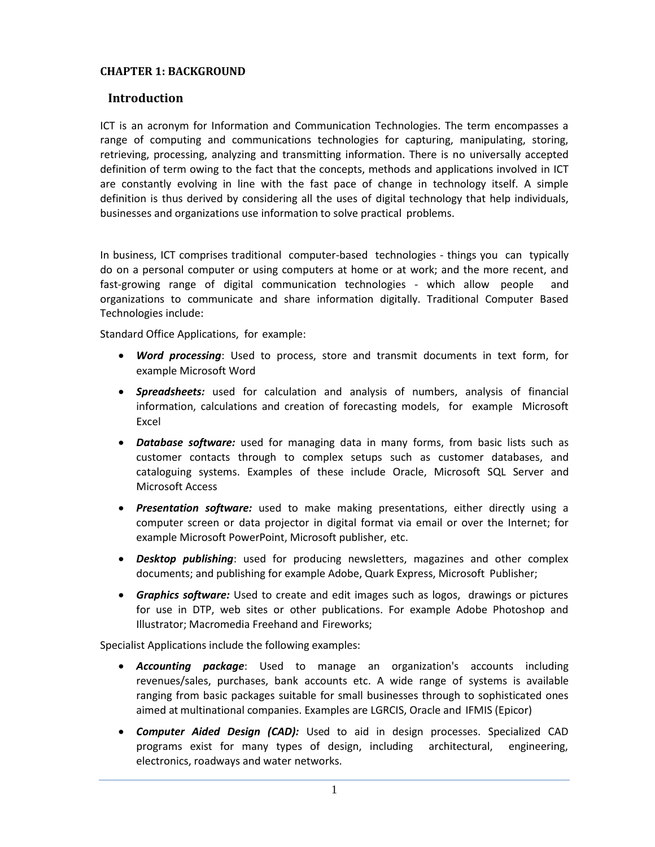#### <span id="page-4-0"></span>**CHAPTER 1: BACKGROUND**

#### <span id="page-4-1"></span>**Introduction**

ICT is an acronym for Information and Communication Technologies. The term encompasses a range of computing and communications technologies for capturing, manipulating, storing, retrieving, processing, analyzing and transmitting information. There is no universally accepted definition of term owing to the fact that the concepts, methods and applications involved in ICT are constantly evolving in line with the fast pace of change in technology itself. A simple definition is thus derived by considering all the uses of digital technology that help individuals, businesses and organizations use information to solve practical problems.

In business, ICT comprises traditional computer-based technologies - things you can typically do on a personal computer or using computers at home or at work; and the more recent, and fast-growing range of digital communication technologies - which allow people and organizations to communicate and share information digitally. Traditional Computer Based Technologies include:

Standard Office Applications, for example:

- *Word processing*: Used to process, store and transmit documents in text form, for example Microsoft Word
- *Spreadsheets:* used for calculation and analysis of numbers, analysis of financial information, calculations and creation of forecasting models, for example Microsoft Excel
- *Database software:* used for managing data in many forms, from basic lists such as customer contacts through to complex setups such as customer databases, and cataloguing systems. Examples of these include Oracle, Microsoft SQL Server and Microsoft Access
- *Presentation software:* used to make making presentations, either directly using a computer screen or data projector in digital format via email or over the Internet; for example Microsoft PowerPoint, Microsoft publisher, etc.
- *Desktop publishing*: used for producing newsletters, magazines and other complex documents; and publishing for example Adobe, Quark Express, Microsoft Publisher;
- *Graphics software:* Used to create and edit images such as logos, drawings or pictures for use in DTP, web sites or other publications. For example Adobe Photoshop and Illustrator; Macromedia Freehand and Fireworks;

Specialist Applications include the following examples:

- *Accounting package*: Used to manage an organization's accounts including revenues/sales, purchases, bank accounts etc. A wide range of systems is available ranging from basic packages suitable for small businesses through to sophisticated ones aimed at multinational companies. Examples are LGRCIS, Oracle and IFMIS (Epicor)
- *Computer Aided Design (CAD):* Used to aid in design processes. Specialized CAD programs exist for many types of design, including architectural, engineering, electronics, roadways and water networks.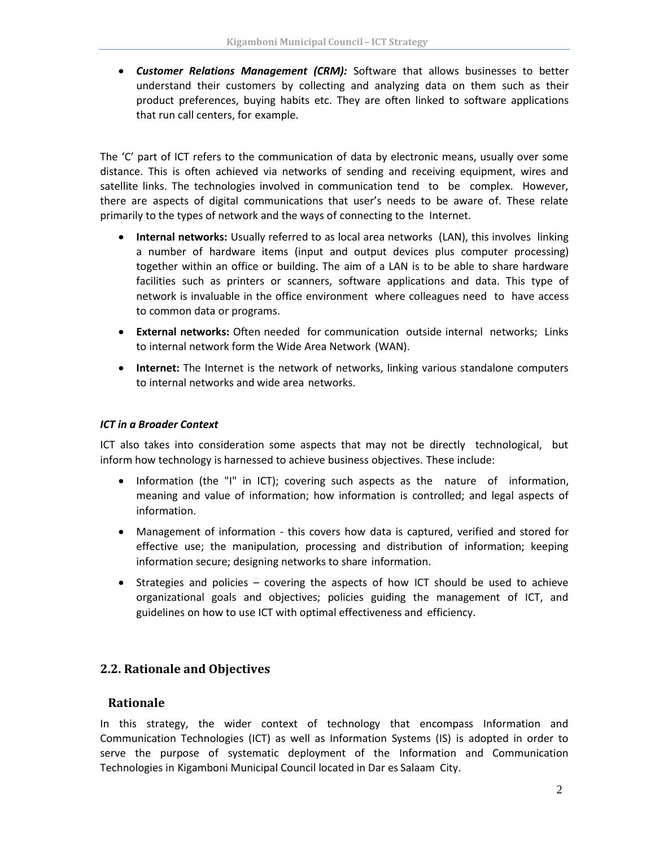• *Customer Relations Management (CRM):* Software that allows businesses to better understand their customers by collecting and analyzing data on them such as their product preferences, buying habits etc. They are often linked to software applications that run call centers, for example.

The 'C' part of ICT refers to the communication of data by electronic means, usually over some distance. This is often achieved via networks of sending and receiving equipment, wires and satellite links. The technologies involved in communication tend to be complex. However, there are aspects of digital communications that user's needs to be aware of. These relate primarily to the types of network and the ways of connecting to the Internet.

- **Internal networks:** Usually referred to as local area networks (LAN), this involves linking a number of hardware items (input and output devices plus computer processing) together within an office or building. The aim of a LAN is to be able to share hardware facilities such as printers or scanners, software applications and data. This type of network is invaluable in the office environment where colleagues need to have access to common data or programs.
- **External networks:** Often needed for communication outside internal networks; Links to internal network form the Wide Area Network (WAN).
- **Internet:** The Internet is the network of networks, linking various standalone computers to internal networks and wide area networks.

#### *ICT in a Broader Context*

ICT also takes into consideration some aspects that may not be directly technological, but inform how technology is harnessed to achieve business objectives. These include:

- Information (the "I" in ICT); covering such aspects as the nature of information, meaning and value of information; how information is controlled; and legal aspects of information.
- Management of information this covers how data is captured, verified and stored for effective use; the manipulation, processing and distribution of information; keeping information secure; designing networks to share information.
- Strategies and policies covering the aspects of how ICT should be used to achieve organizational goals and objectives; policies guiding the management of ICT, and guidelines on how to use ICT with optimal effectiveness and efficiency.

# <span id="page-5-0"></span>**2.2. Rationale and Objectives**

#### **Rationale**

In this strategy, the wider context of technology that encompass Information and Communication Technologies (ICT) as well as Information Systems (IS) is adopted in order to serve the purpose of systematic deployment of the Information and Communication Technologies in Kigamboni Municipal Council located in Dar es Salaam City.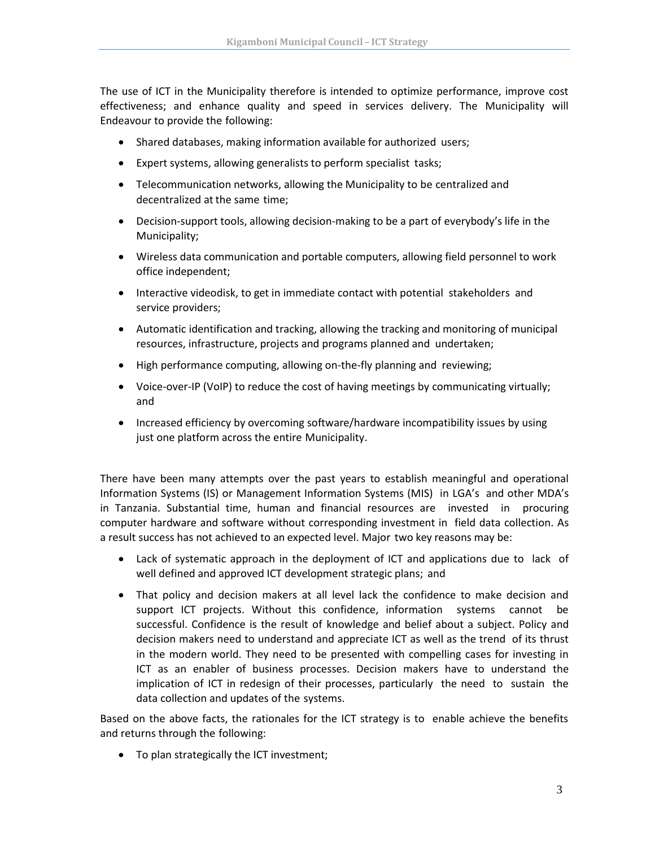The use of ICT in the Municipality therefore is intended to optimize performance, improve cost effectiveness; and enhance quality and speed in services delivery. The Municipality will Endeavour to provide the following:

- Shared databases, making information available for authorized users;
- Expert systems, allowing generalists to perform specialist tasks;
- Telecommunication networks, allowing the Municipality to be centralized and decentralized at the same time;
- Decision-support tools, allowing decision-making to be a part of everybody's life in the Municipality;
- Wireless data communication and portable computers, allowing field personnel to work office independent;
- Interactive videodisk, to get in immediate contact with potential stakeholders and service providers;
- Automatic identification and tracking, allowing the tracking and monitoring of municipal resources, infrastructure, projects and programs planned and undertaken;
- High performance computing, allowing on-the-fly planning and reviewing;
- Voice-over-IP (VoIP) to reduce the cost of having meetings by communicating virtually; and
- Increased efficiency by overcoming software/hardware incompatibility issues by using just one platform across the entire Municipality.

There have been many attempts over the past years to establish meaningful and operational Information Systems (IS) or Management Information Systems (MIS) in LGA's and other MDA's in Tanzania. Substantial time, human and financial resources are invested in procuring computer hardware and software without corresponding investment in field data collection. As a result success has not achieved to an expected level. Major two key reasons may be:

- Lack of systematic approach in the deployment of ICT and applications due to lack of well defined and approved ICT development strategic plans; and
- That policy and decision makers at all level lack the confidence to make decision and support ICT projects. Without this confidence, information systems cannot be successful. Confidence is the result of knowledge and belief about a subject. Policy and decision makers need to understand and appreciate ICT as well as the trend of its thrust in the modern world. They need to be presented with compelling cases for investing in ICT as an enabler of business processes. Decision makers have to understand the implication of ICT in redesign of their processes, particularly the need to sustain the data collection and updates of the systems.

Based on the above facts, the rationales for the ICT strategy is to enable achieve the benefits and returns through the following:

• To plan strategically the ICT investment;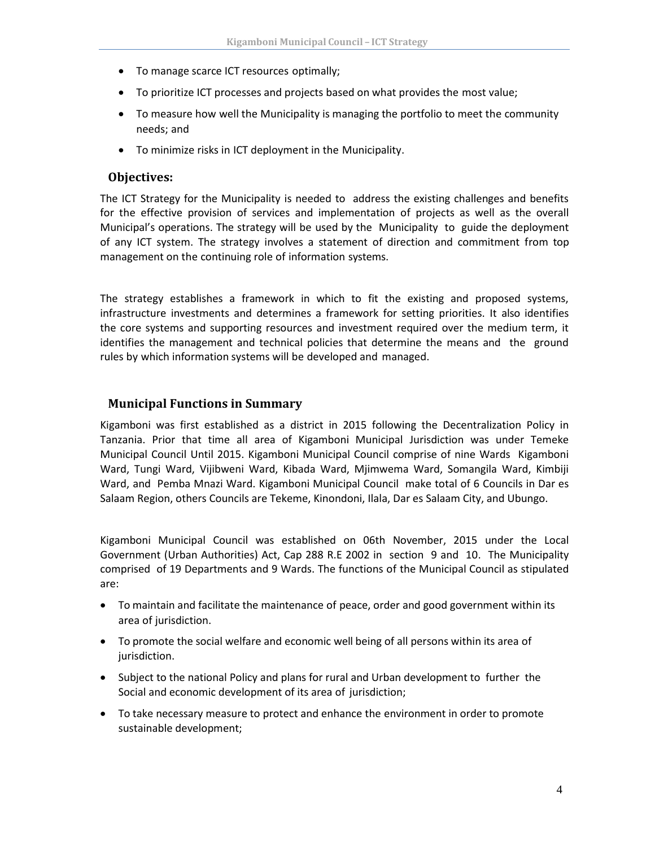- To manage scarce ICT resources optimally;
- To prioritize ICT processes and projects based on what provides the most value;
- To measure how well the Municipality is managing the portfolio to meet the community needs; and
- To minimize risks in ICT deployment in the Municipality.

#### **Objectives:**

The ICT Strategy for the Municipality is needed to address the existing challenges and benefits for the effective provision of services and implementation of projects as well as the overall Municipal's operations. The strategy will be used by the Municipality to guide the deployment of any ICT system. The strategy involves a statement of direction and commitment from top management on the continuing role of information systems.

The strategy establishes a framework in which to fit the existing and proposed systems, infrastructure investments and determines a framework for setting priorities. It also identifies the core systems and supporting resources and investment required over the medium term, it identifies the management and technical policies that determine the means and the ground rules by which information systems will be developed and managed.

#### <span id="page-7-0"></span>**Municipal Functions in Summary**

Kigamboni was first established as a district in 2015 following the Decentralization Policy in Tanzania. Prior that time all area of Kigamboni Municipal Jurisdiction was under Temeke Municipal Council Until 2015. Kigamboni Municipal Council comprise of nine Wards Kigamboni Ward, Tungi Ward, Vijibweni Ward, Kibada Ward, Mjimwema Ward, Somangila Ward, Kimbiji Ward, and Pemba Mnazi Ward. Kigamboni Municipal Council make total of 6 Councils in Dar es Salaam Region, others Councils are Tekeme, Kinondoni, Ilala, Dar es Salaam City, and Ubungo.

Kigamboni Municipal Council was established on 06th November, 2015 under the Local Government (Urban Authorities) Act, Cap 288 R.E 2002 in section 9 and 10. The Municipality comprised of 19 Departments and 9 Wards. The functions of the Municipal Council as stipulated are:

- To maintain and facilitate the maintenance of peace, order and good government within its area of jurisdiction.
- To promote the social welfare and economic well being of all persons within its area of jurisdiction.
- Subject to the national Policy and plans for rural and Urban development to further the Social and economic development of its area of jurisdiction;
- To take necessary measure to protect and enhance the environment in order to promote sustainable development;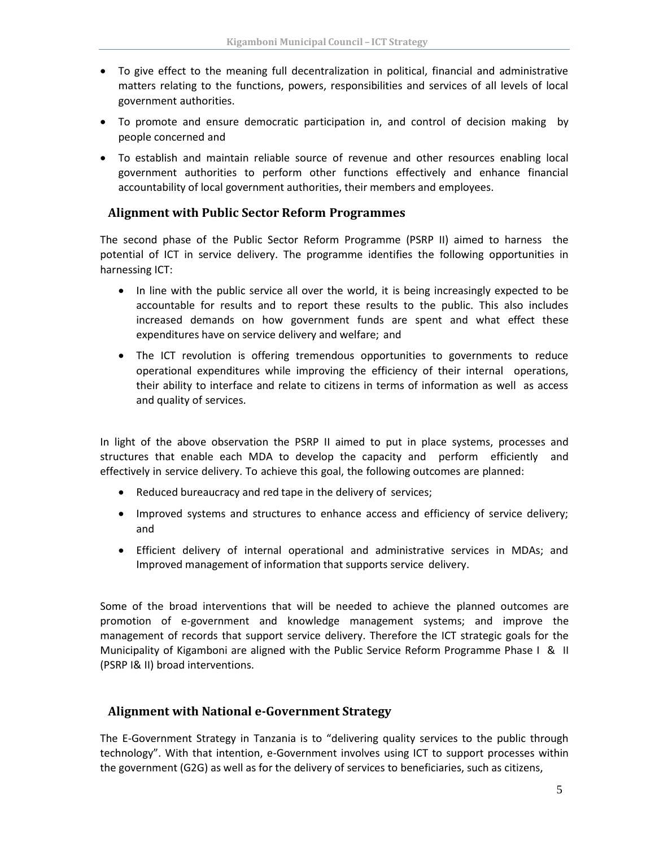- To give effect to the meaning full decentralization in political, financial and administrative matters relating to the functions, powers, responsibilities and services of all levels of local government authorities.
- To promote and ensure democratic participation in, and control of decision making by people concerned and
- To establish and maintain reliable source of revenue and other resources enabling local government authorities to perform other functions effectively and enhance financial accountability of local government authorities, their members and employees.

#### <span id="page-8-0"></span>**Alignment with Public Sector Reform Programmes**

The second phase of the Public Sector Reform Programme (PSRP II) aimed to harness the potential of ICT in service delivery. The programme identifies the following opportunities in harnessing ICT:

- In line with the public service all over the world, it is being increasingly expected to be accountable for results and to report these results to the public. This also includes increased demands on how government funds are spent and what effect these expenditures have on service delivery and welfare; and
- The ICT revolution is offering tremendous opportunities to governments to reduce operational expenditures while improving the efficiency of their internal operations, their ability to interface and relate to citizens in terms of information as well as access and quality of services.

In light of the above observation the PSRP II aimed to put in place systems, processes and structures that enable each MDA to develop the capacity and perform efficiently and effectively in service delivery. To achieve this goal, the following outcomes are planned:

- Reduced bureaucracy and red tape in the delivery of services;
- Improved systems and structures to enhance access and efficiency of service delivery; and
- Efficient delivery of internal operational and administrative services in MDAs; and Improved management of information that supports service delivery.

Some of the broad interventions that will be needed to achieve the planned outcomes are promotion of e-government and knowledge management systems; and improve the management of records that support service delivery. Therefore the ICT strategic goals for the Municipality of Kigamboni are aligned with the Public Service Reform Programme Phase I & II (PSRP I& II) broad interventions.

#### <span id="page-8-1"></span>**Alignment with National e-Government Strategy**

The E-Government Strategy in Tanzania is to "delivering quality services to the public through technology". With that intention, e-Government involves using ICT to support processes within the government (G2G) as well as for the delivery of services to beneficiaries, such as citizens,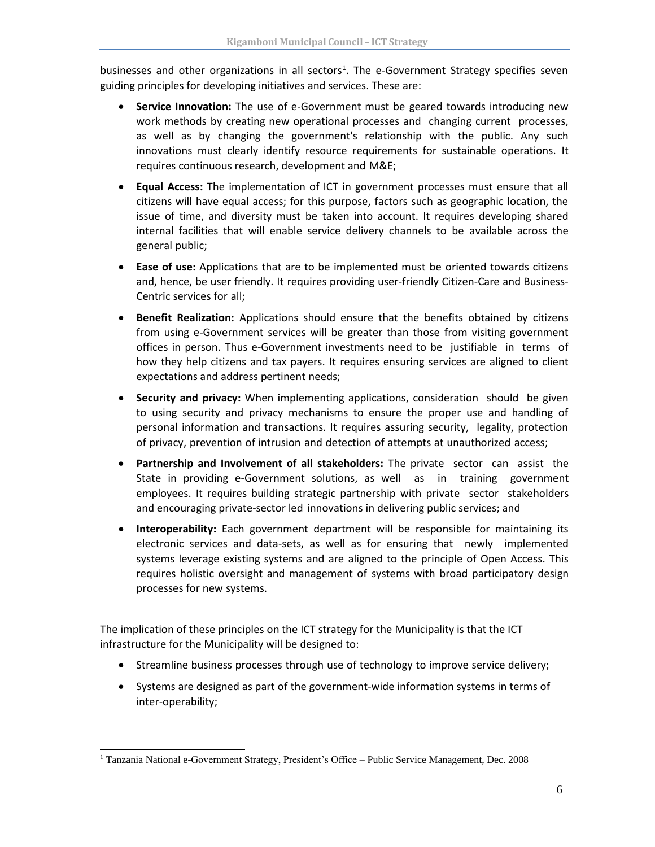businesses and other organizations in all sectors<sup>1</sup>. The e-Government Strategy specifies seven guiding principles for developing initiatives and services. These are:

- **Service Innovation:** The use of e-Government must be geared towards introducing new work methods by creating new operational processes and changing current processes, as well as by changing the government's relationship with the public. Any such innovations must clearly identify resource requirements for sustainable operations. It requires continuous research, development and M&E;
- **Equal Access:** The implementation of ICT in government processes must ensure that all citizens will have equal access; for this purpose, factors such as geographic location, the issue of time, and diversity must be taken into account. It requires developing shared internal facilities that will enable service delivery channels to be available across the general public;
- **Ease of use:** Applications that are to be implemented must be oriented towards citizens and, hence, be user friendly. It requires providing user-friendly Citizen-Care and Business-Centric services for all;
- **Benefit Realization:** Applications should ensure that the benefits obtained by citizens from using e-Government services will be greater than those from visiting government offices in person. Thus e-Government investments need to be justifiable in terms of how they help citizens and tax payers. It requires ensuring services are aligned to client expectations and address pertinent needs;
- **Security and privacy:** When implementing applications, consideration should be given to using security and privacy mechanisms to ensure the proper use and handling of personal information and transactions. It requires assuring security, legality, protection of privacy, prevention of intrusion and detection of attempts at unauthorized access;
- **Partnership and Involvement of all stakeholders:** The private sector can assist the State in providing e-Government solutions, as well as in training government employees. It requires building strategic partnership with private sector stakeholders and encouraging private-sector led innovations in delivering public services; and
- **Interoperability:** Each government department will be responsible for maintaining its electronic services and data-sets, as well as for ensuring that newly implemented systems leverage existing systems and are aligned to the principle of Open Access. This requires holistic oversight and management of systems with broad participatory design processes for new systems.

The implication of these principles on the ICT strategy for the Municipality is that the ICT infrastructure for the Municipality will be designed to:

- Streamline business processes through use of technology to improve service delivery;
- Systems are designed as part of the government-wide information systems in terms of inter-operability;

<sup>1</sup> Tanzania National e-Government Strategy, President's Office – Public Service Management, Dec. 2008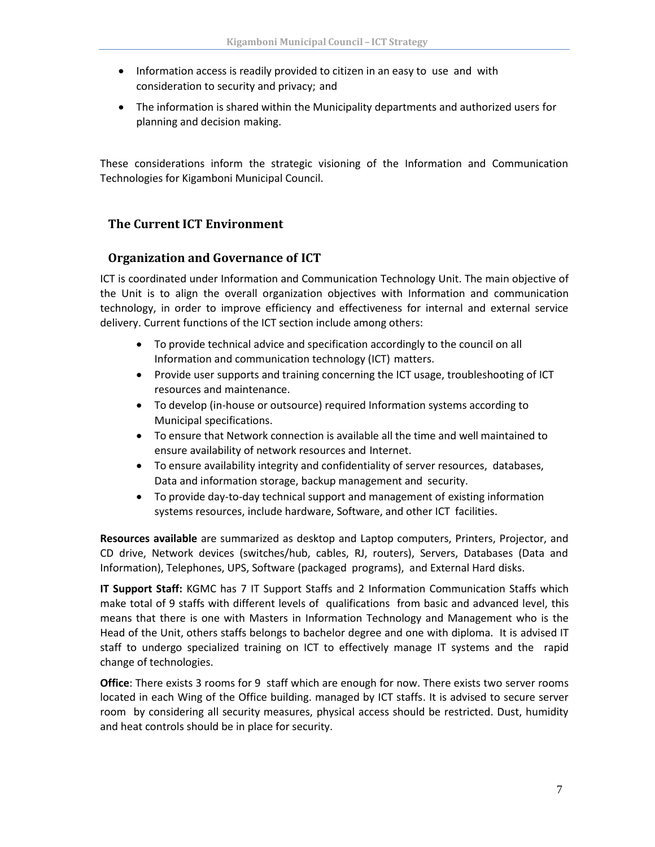- Information access is readily provided to citizen in an easy to use and with consideration to security and privacy; and
- The information is shared within the Municipality departments and authorized users for planning and decision making.

These considerations inform the strategic visioning of the Information and Communication Technologies for Kigamboni Municipal Council.

# <span id="page-10-0"></span>**The Current ICT Environment**

# **Organization and Governance of ICT**

ICT is coordinated under Information and Communication Technology Unit. The main objective of the Unit is to align the overall organization objectives with Information and communication technology, in order to improve efficiency and effectiveness for internal and external service delivery. Current functions of the ICT section include among others:

- To provide technical advice and specification accordingly to the council on all Information and communication technology (ICT) matters.
- Provide user supports and training concerning the ICT usage, troubleshooting of ICT resources and maintenance.
- To develop (in-house or outsource) required Information systems according to Municipal specifications.
- To ensure that Network connection is available all the time and well maintained to ensure availability of network resources and Internet.
- To ensure availability integrity and confidentiality of server resources, databases, Data and information storage, backup management and security.
- To provide day-to-day technical support and management of existing information systems resources, include hardware, Software, and other ICT facilities.

**Resources available** are summarized as desktop and Laptop computers, Printers, Projector, and CD drive, Network devices (switches/hub, cables, RJ, routers), Servers, Databases (Data and Information), Telephones, UPS, Software (packaged programs), and External Hard disks.

**IT Support Staff:** KGMC has 7 IT Support Staffs and 2 Information Communication Staffs which make total of 9 staffs with different levels of qualifications from basic and advanced level, this means that there is one with Masters in Information Technology and Management who is the Head of the Unit, others staffs belongs to bachelor degree and one with diploma. It is advised IT staff to undergo specialized training on ICT to effectively manage IT systems and the rapid change of technologies.

**Office**: There exists 3 rooms for 9 staff which are enough for now. There exists two server rooms located in each Wing of the Office building. managed by ICT staffs. It is advised to secure server room by considering all security measures, physical access should be restricted. Dust, humidity and heat controls should be in place for security.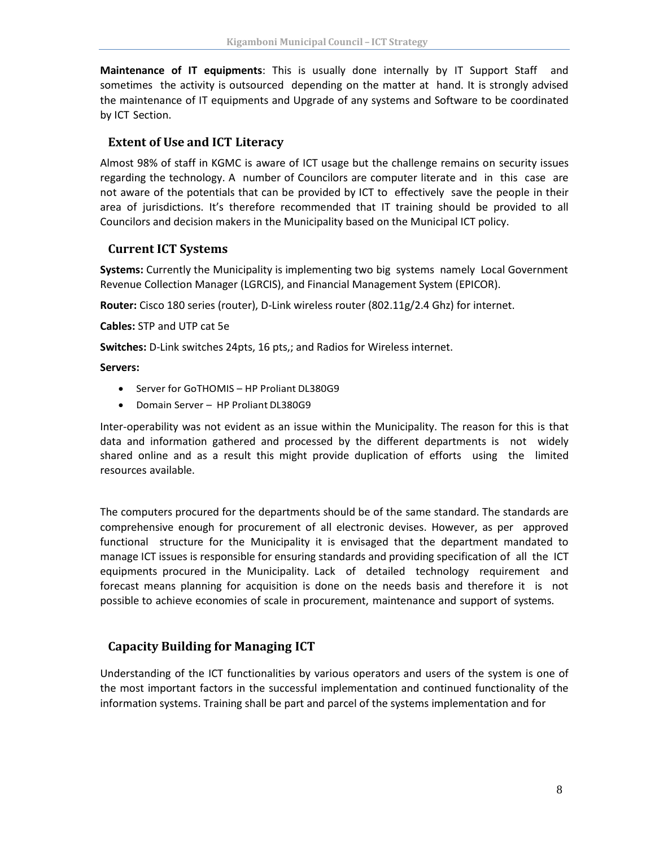**Maintenance of IT equipments**: This is usually done internally by IT Support Staff and sometimes the activity is outsourced depending on the matter at hand. It is strongly advised the maintenance of IT equipments and Upgrade of any systems and Software to be coordinated by ICT Section.

#### **Extent of Use and ICT Literacy**

Almost 98% of staff in KGMC is aware of ICT usage but the challenge remains on security issues regarding the technology. A number of Councilors are computer literate and in this case are not aware of the potentials that can be provided by ICT to effectively save the people in their area of jurisdictions. It's therefore recommended that IT training should be provided to all Councilors and decision makers in the Municipality based on the Municipal ICT policy.

# **Current ICT Systems**

**Systems:** Currently the Municipality is implementing two big systems namely Local Government Revenue Collection Manager (LGRCIS), and Financial Management System (EPICOR).

**Router:** Cisco 180 series (router), D-Link wireless router (802.11g/2.4 Ghz) for internet.

**Cables:** STP and UTP cat 5e

**Switches:** D-Link switches 24pts, 16 pts,; and Radios for Wireless internet.

#### **Servers:**

- Server for GoTHOMIS HP Proliant DL380G9
- Domain Server HP Proliant DL380G9

Inter-operability was not evident as an issue within the Municipality. The reason for this is that data and information gathered and processed by the different departments is not widely shared online and as a result this might provide duplication of efforts using the limited resources available.

The computers procured for the departments should be of the same standard. The standards are comprehensive enough for procurement of all electronic devises. However, as per approved functional structure for the Municipality it is envisaged that the department mandated to manage ICT issues is responsible for ensuring standards and providing specification of all the ICT equipments procured in the Municipality. Lack of detailed technology requirement and forecast means planning for acquisition is done on the needs basis and therefore it is not possible to achieve economies of scale in procurement, maintenance and support of systems.

# <span id="page-11-0"></span>**Capacity Building for Managing ICT**

Understanding of the ICT functionalities by various operators and users of the system is one of the most important factors in the successful implementation and continued functionality of the information systems. Training shall be part and parcel of the systems implementation and for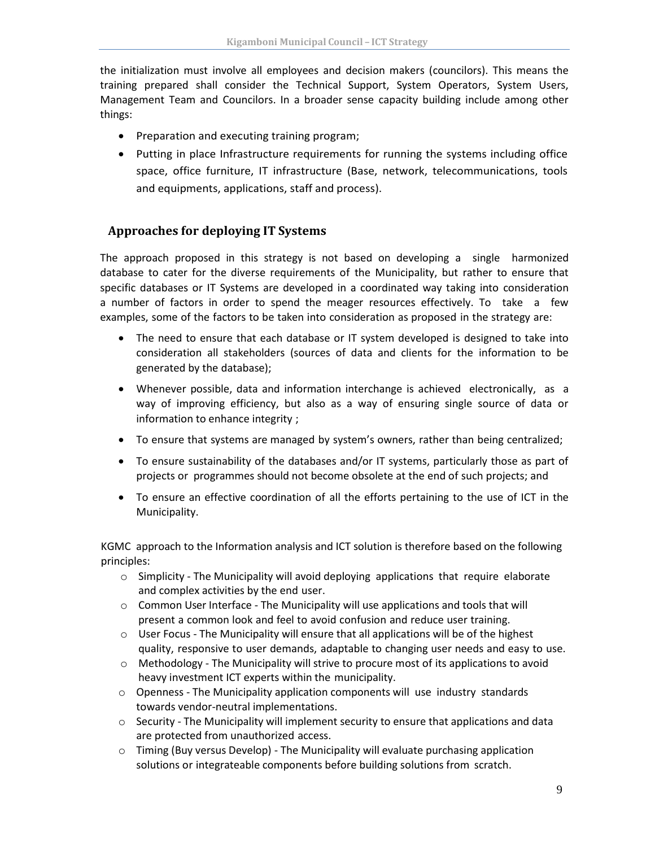the initialization must involve all employees and decision makers (councilors). This means the training prepared shall consider the Technical Support, System Operators, System Users, Management Team and Councilors. In a broader sense capacity building include among other things:

- Preparation and executing training program;
- Putting in place Infrastructure requirements for running the systems including office space, office furniture, IT infrastructure (Base, network, telecommunications, tools and equipments, applications, staff and process).

#### <span id="page-12-0"></span>**Approaches for deploying IT Systems**

The approach proposed in this strategy is not based on developing a single harmonized database to cater for the diverse requirements of the Municipality, but rather to ensure that specific databases or IT Systems are developed in a coordinated way taking into consideration a number of factors in order to spend the meager resources effectively. To take a few examples, some of the factors to be taken into consideration as proposed in the strategy are:

- The need to ensure that each database or IT system developed is designed to take into consideration all stakeholders (sources of data and clients for the information to be generated by the database);
- Whenever possible, data and information interchange is achieved electronically, as a way of improving efficiency, but also as a way of ensuring single source of data or information to enhance integrity ;
- To ensure that systems are managed by system's owners, rather than being centralized;
- To ensure sustainability of the databases and/or IT systems, particularly those as part of projects or programmes should not become obsolete at the end of such projects; and
- To ensure an effective coordination of all the efforts pertaining to the use of ICT in the Municipality.

KGMC approach to the Information analysis and ICT solution is therefore based on the following principles:

- $\circ$  Simplicity The Municipality will avoid deploying applications that require elaborate and complex activities by the end user.
- o Common User Interface The Municipality will use applications and tools that will present a common look and feel to avoid confusion and reduce user training.
- $\circ$  User Focus The Municipality will ensure that all applications will be of the highest quality, responsive to user demands, adaptable to changing user needs and easy to use.
- o Methodology The Municipality will strive to procure most of its applications to avoid heavy investment ICT experts within the municipality.
- $\circ$  Openness The Municipality application components will use industry standards towards vendor-neutral implementations.
- $\circ$  Security The Municipality will implement security to ensure that applications and data are protected from unauthorized access.
- $\circ$  Timing (Buy versus Develop) The Municipality will evaluate purchasing application solutions or integrateable components before building solutions from scratch.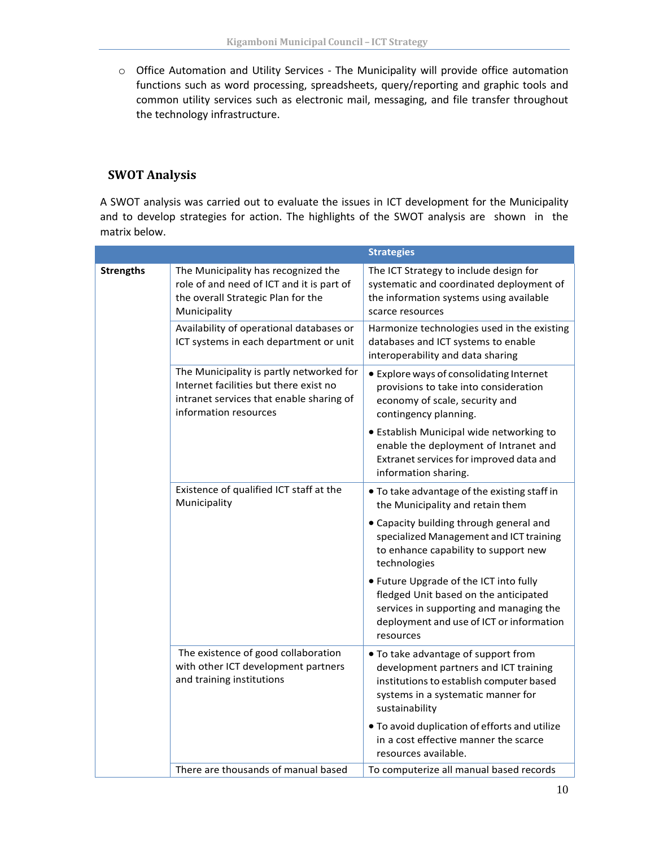o Office Automation and Utility Services - The Municipality will provide office automation functions such as word processing, spreadsheets, query/reporting and graphic tools and common utility services such as electronic mail, messaging, and file transfer throughout the technology infrastructure.

# <span id="page-13-0"></span>**SWOT Analysis**

A SWOT analysis was carried out to evaluate the issues in ICT development for the Municipality and to develop strategies for action. The highlights of the SWOT analysis are shown in the matrix below.

|                  |                                                                                                                                                         | <b>Strategies</b>                                                                                                                                                                   |
|------------------|---------------------------------------------------------------------------------------------------------------------------------------------------------|-------------------------------------------------------------------------------------------------------------------------------------------------------------------------------------|
| <b>Strengths</b> | The Municipality has recognized the<br>role of and need of ICT and it is part of<br>the overall Strategic Plan for the<br>Municipality                  | The ICT Strategy to include design for<br>systematic and coordinated deployment of<br>the information systems using available<br>scarce resources                                   |
|                  | Availability of operational databases or<br>ICT systems in each department or unit                                                                      | Harmonize technologies used in the existing<br>databases and ICT systems to enable<br>interoperability and data sharing                                                             |
|                  | The Municipality is partly networked for<br>Internet facilities but there exist no<br>intranet services that enable sharing of<br>information resources | • Explore ways of consolidating Internet<br>provisions to take into consideration<br>economy of scale, security and<br>contingency planning.                                        |
|                  |                                                                                                                                                         | • Establish Municipal wide networking to<br>enable the deployment of Intranet and<br>Extranet services for improved data and<br>information sharing.                                |
|                  | Existence of qualified ICT staff at the<br>Municipality                                                                                                 | . To take advantage of the existing staff in<br>the Municipality and retain them                                                                                                    |
|                  |                                                                                                                                                         | • Capacity building through general and<br>specialized Management and ICT training<br>to enhance capability to support new<br>technologies                                          |
|                  |                                                                                                                                                         | • Future Upgrade of the ICT into fully<br>fledged Unit based on the anticipated<br>services in supporting and managing the<br>deployment and use of ICT or information<br>resources |
|                  | The existence of good collaboration<br>with other ICT development partners<br>and training institutions                                                 | • To take advantage of support from<br>development partners and ICT training<br>institutions to establish computer based<br>systems in a systematic manner for<br>sustainability    |
|                  |                                                                                                                                                         | . To avoid duplication of efforts and utilize<br>in a cost effective manner the scarce<br>resources available.                                                                      |
|                  | There are thousands of manual based                                                                                                                     | To computerize all manual based records                                                                                                                                             |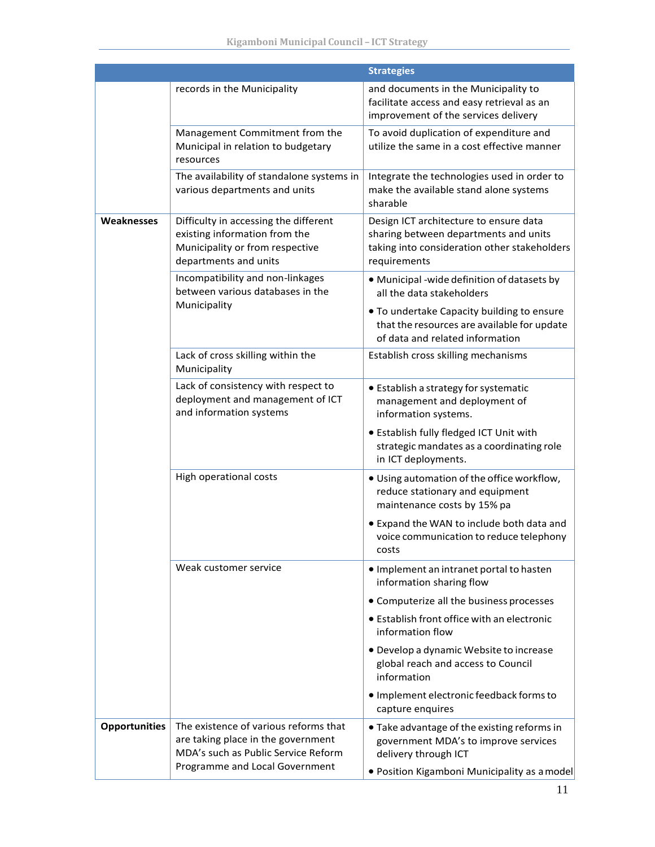|                      |                                                                                                                                    | <b>Strategies</b>                                                                                                                               |
|----------------------|------------------------------------------------------------------------------------------------------------------------------------|-------------------------------------------------------------------------------------------------------------------------------------------------|
|                      | records in the Municipality                                                                                                        | and documents in the Municipality to<br>facilitate access and easy retrieval as an<br>improvement of the services delivery                      |
|                      | Management Commitment from the<br>Municipal in relation to budgetary<br>resources                                                  | To avoid duplication of expenditure and<br>utilize the same in a cost effective manner                                                          |
|                      | The availability of standalone systems in<br>various departments and units                                                         | Integrate the technologies used in order to<br>make the available stand alone systems<br>sharable                                               |
| Weaknesses           | Difficulty in accessing the different<br>existing information from the<br>Municipality or from respective<br>departments and units | Design ICT architecture to ensure data<br>sharing between departments and units<br>taking into consideration other stakeholders<br>requirements |
|                      | Incompatibility and non-linkages<br>between various databases in the                                                               | · Municipal -wide definition of datasets by<br>all the data stakeholders                                                                        |
|                      | Municipality                                                                                                                       | • To undertake Capacity building to ensure<br>that the resources are available for update<br>of data and related information                    |
|                      | Lack of cross skilling within the<br>Municipality                                                                                  | Establish cross skilling mechanisms                                                                                                             |
|                      | Lack of consistency with respect to<br>deployment and management of ICT<br>and information systems                                 | • Establish a strategy for systematic<br>management and deployment of<br>information systems.                                                   |
|                      |                                                                                                                                    | • Establish fully fledged ICT Unit with<br>strategic mandates as a coordinating role<br>in ICT deployments.                                     |
|                      | High operational costs                                                                                                             | . Using automation of the office workflow,<br>reduce stationary and equipment<br>maintenance costs by 15% pa                                    |
|                      |                                                                                                                                    | • Expand the WAN to include both data and<br>voice communication to reduce telephony<br>costs                                                   |
|                      | Weak customer service                                                                                                              | • Implement an intranet portal to hasten<br>information sharing flow                                                                            |
|                      |                                                                                                                                    | • Computerize all the business processes                                                                                                        |
|                      |                                                                                                                                    | • Establish front office with an electronic<br>information flow                                                                                 |
|                      |                                                                                                                                    | • Develop a dynamic Website to increase<br>global reach and access to Council<br>information                                                    |
|                      |                                                                                                                                    | · Implement electronic feedback forms to<br>capture enquires                                                                                    |
| <b>Opportunities</b> | The existence of various reforms that<br>are taking place in the government<br>MDA's such as Public Service Reform                 | • Take advantage of the existing reforms in<br>government MDA's to improve services<br>delivery through ICT                                     |
|                      | Programme and Local Government                                                                                                     | · Position Kigamboni Municipality as a model                                                                                                    |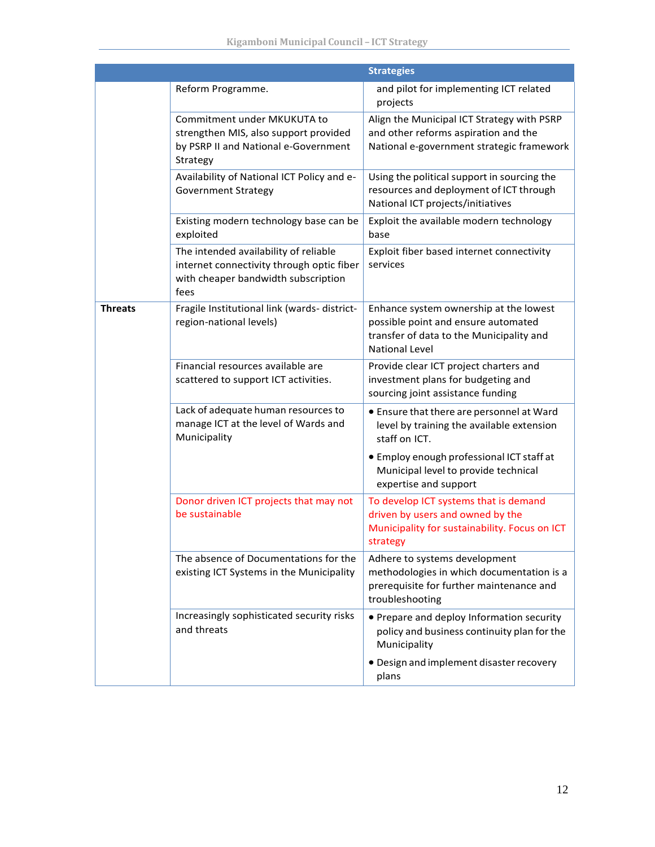|                |                                                                                                                                   | <b>Strategies</b>                                                                                                                                  |
|----------------|-----------------------------------------------------------------------------------------------------------------------------------|----------------------------------------------------------------------------------------------------------------------------------------------------|
|                | Reform Programme.                                                                                                                 | and pilot for implementing ICT related<br>projects                                                                                                 |
|                | Commitment under MKUKUTA to<br>strengthen MIS, also support provided<br>by PSRP II and National e-Government<br>Strategy          | Align the Municipal ICT Strategy with PSRP<br>and other reforms aspiration and the<br>National e-government strategic framework                    |
|                | Availability of National ICT Policy and e-<br><b>Government Strategy</b>                                                          | Using the political support in sourcing the<br>resources and deployment of ICT through<br>National ICT projects/initiatives                        |
|                | Existing modern technology base can be<br>exploited                                                                               | Exploit the available modern technology<br>base                                                                                                    |
|                | The intended availability of reliable<br>internet connectivity through optic fiber<br>with cheaper bandwidth subscription<br>fees | Exploit fiber based internet connectivity<br>services                                                                                              |
| <b>Threats</b> | Fragile Institutional link (wards- district-<br>region-national levels)                                                           | Enhance system ownership at the lowest<br>possible point and ensure automated<br>transfer of data to the Municipality and<br><b>National Level</b> |
|                | Financial resources available are<br>scattered to support ICT activities.                                                         | Provide clear ICT project charters and<br>investment plans for budgeting and<br>sourcing joint assistance funding                                  |
|                | Lack of adequate human resources to<br>manage ICT at the level of Wards and<br>Municipality                                       | • Ensure that there are personnel at Ward<br>level by training the available extension<br>staff on ICT.                                            |
|                |                                                                                                                                   | • Employ enough professional ICT staff at<br>Municipal level to provide technical<br>expertise and support                                         |
|                | Donor driven ICT projects that may not<br>be sustainable                                                                          | To develop ICT systems that is demand<br>driven by users and owned by the<br>Municipality for sustainability. Focus on ICT<br>strategy             |
|                | The absence of Documentations for the<br>existing ICT Systems in the Municipality                                                 | Adhere to systems development<br>methodologies in which documentation is a<br>prerequisite for further maintenance and<br>troubleshooting          |
|                | Increasingly sophisticated security risks<br>and threats                                                                          | • Prepare and deploy Information security<br>policy and business continuity plan for the<br>Municipality                                           |
|                |                                                                                                                                   | · Design and implement disaster recovery<br>plans                                                                                                  |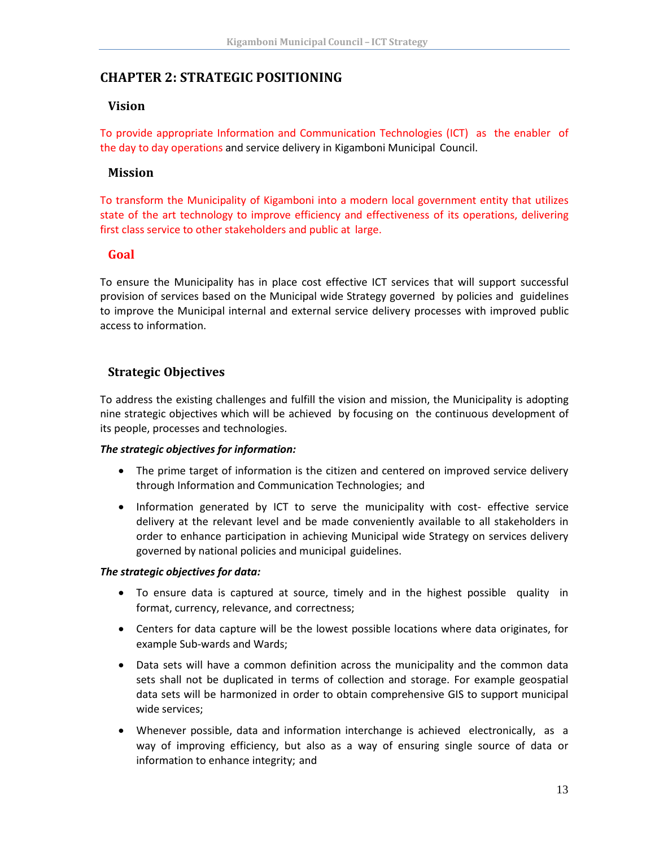# <span id="page-16-1"></span><span id="page-16-0"></span>**CHAPTER 2: STRATEGIC POSITIONING**

#### **Vision**

To provide appropriate Information and Communication Technologies (ICT) as the enabler of the day to day operations and service delivery in Kigamboni Municipal Council.

# <span id="page-16-2"></span>**Mission**

To transform the Municipality of Kigamboni into a modern local government entity that utilizes state of the art technology to improve efficiency and effectiveness of its operations, delivering first class service to other stakeholders and public at large.

# <span id="page-16-3"></span>**Goal**

To ensure the Municipality has in place cost effective ICT services that will support successful provision of services based on the Municipal wide Strategy governed by policies and guidelines to improve the Municipal internal and external service delivery processes with improved public access to information.

# <span id="page-16-4"></span>**Strategic Objectives**

To address the existing challenges and fulfill the vision and mission, the Municipality is adopting nine strategic objectives which will be achieved by focusing on the continuous development of its people, processes and technologies.

#### *The strategic objectives for information:*

- The prime target of information is the citizen and centered on improved service delivery through Information and Communication Technologies; and
- Information generated by ICT to serve the municipality with cost- effective service delivery at the relevant level and be made conveniently available to all stakeholders in order to enhance participation in achieving Municipal wide Strategy on services delivery governed by national policies and municipal guidelines.

#### *The strategic objectives for data:*

- To ensure data is captured at source, timely and in the highest possible quality in format, currency, relevance, and correctness;
- Centers for data capture will be the lowest possible locations where data originates, for example Sub-wards and Wards;
- Data sets will have a common definition across the municipality and the common data sets shall not be duplicated in terms of collection and storage. For example geospatial data sets will be harmonized in order to obtain comprehensive GIS to support municipal wide services;
- Whenever possible, data and information interchange is achieved electronically, as a way of improving efficiency, but also as a way of ensuring single source of data or information to enhance integrity; and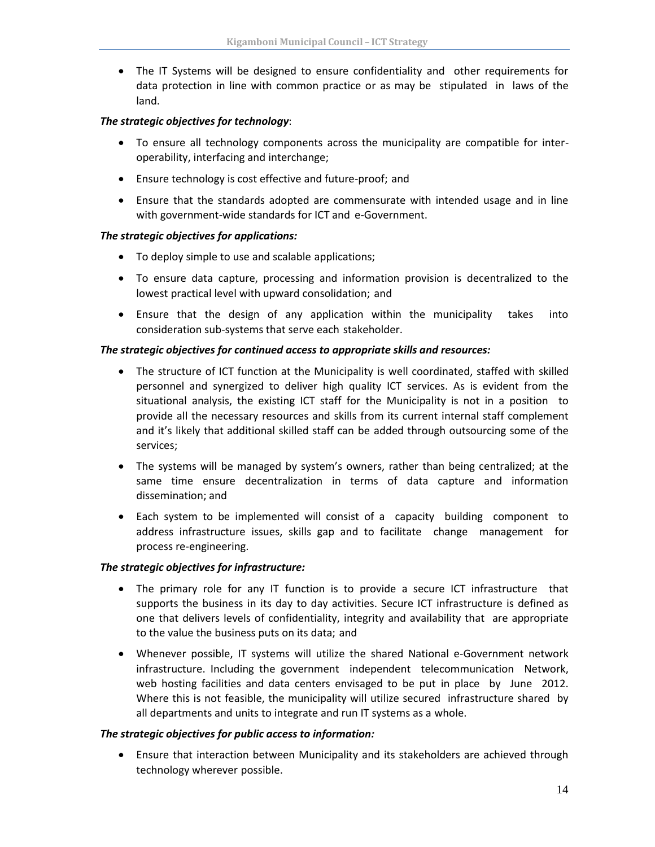• The IT Systems will be designed to ensure confidentiality and other requirements for data protection in line with common practice or as may be stipulated in laws of the land.

#### *The strategic objectives for technology*:

- To ensure all technology components across the municipality are compatible for interoperability, interfacing and interchange;
- Ensure technology is cost effective and future-proof; and
- Ensure that the standards adopted are commensurate with intended usage and in line with government-wide standards for ICT and e-Government.

#### *The strategic objectives for applications:*

- To deploy simple to use and scalable applications;
- To ensure data capture, processing and information provision is decentralized to the lowest practical level with upward consolidation; and
- Ensure that the design of any application within the municipality takes into consideration sub-systems that serve each stakeholder.

#### *The strategic objectives for continued access to appropriate skills and resources:*

- The structure of ICT function at the Municipality is well coordinated, staffed with skilled personnel and synergized to deliver high quality ICT services. As is evident from the situational analysis, the existing ICT staff for the Municipality is not in a position to provide all the necessary resources and skills from its current internal staff complement and it's likely that additional skilled staff can be added through outsourcing some of the services;
- The systems will be managed by system's owners, rather than being centralized; at the same time ensure decentralization in terms of data capture and information dissemination; and
- Each system to be implemented will consist of a capacity building component to address infrastructure issues, skills gap and to facilitate change management for process re-engineering.

#### *The strategic objectives for infrastructure:*

- The primary role for any IT function is to provide a secure ICT infrastructure that supports the business in its day to day activities. Secure ICT infrastructure is defined as one that delivers levels of confidentiality, integrity and availability that are appropriate to the value the business puts on its data; and
- Whenever possible, IT systems will utilize the shared National e-Government network infrastructure. Including the government independent telecommunication Network, web hosting facilities and data centers envisaged to be put in place by June 2012. Where this is not feasible, the municipality will utilize secured infrastructure shared by all departments and units to integrate and run IT systems as a whole.

#### *The strategic objectives for public access to information:*

• Ensure that interaction between Municipality and its stakeholders are achieved through technology wherever possible.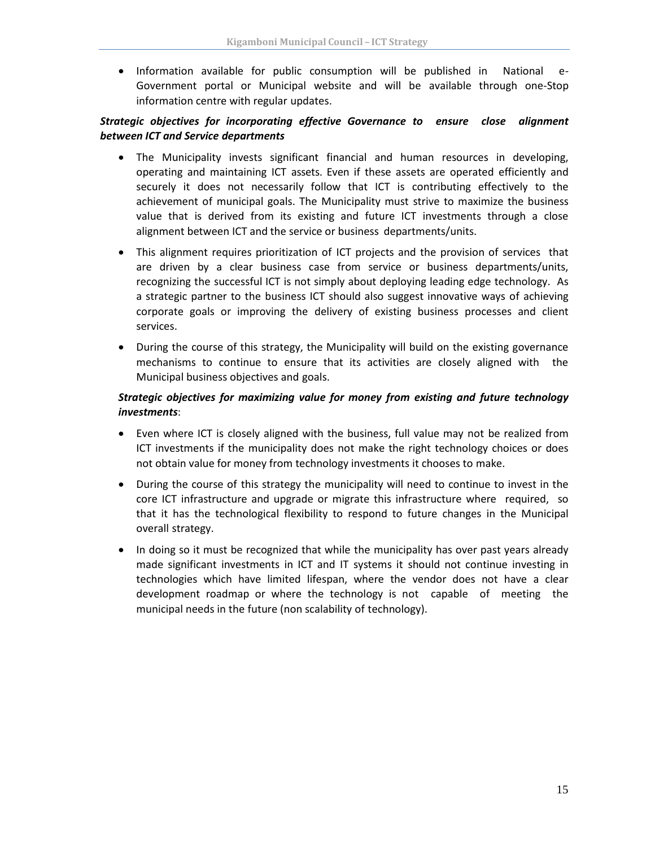• Information available for public consumption will be published in National e-Government portal or Municipal website and will be available through one-Stop information centre with regular updates.

#### *Strategic objectives for incorporating effective Governance to ensure close alignment between ICT and Service departments*

- The Municipality invests significant financial and human resources in developing, operating and maintaining ICT assets. Even if these assets are operated efficiently and securely it does not necessarily follow that ICT is contributing effectively to the achievement of municipal goals. The Municipality must strive to maximize the business value that is derived from its existing and future ICT investments through a close alignment between ICT and the service or business departments/units.
- This alignment requires prioritization of ICT projects and the provision of services that are driven by a clear business case from service or business departments/units, recognizing the successful ICT is not simply about deploying leading edge technology. As a strategic partner to the business ICT should also suggest innovative ways of achieving corporate goals or improving the delivery of existing business processes and client services.
- During the course of this strategy, the Municipality will build on the existing governance mechanisms to continue to ensure that its activities are closely aligned with the Municipal business objectives and goals.

#### *Strategic objectives for maximizing value for money from existing and future technology investments*:

- Even where ICT is closely aligned with the business, full value may not be realized from ICT investments if the municipality does not make the right technology choices or does not obtain value for money from technology investments it chooses to make.
- During the course of this strategy the municipality will need to continue to invest in the core ICT infrastructure and upgrade or migrate this infrastructure where required, so that it has the technological flexibility to respond to future changes in the Municipal overall strategy.
- In doing so it must be recognized that while the municipality has over past years already made significant investments in ICT and IT systems it should not continue investing in technologies which have limited lifespan, where the vendor does not have a clear development roadmap or where the technology is not capable of meeting the municipal needs in the future (non scalability of technology).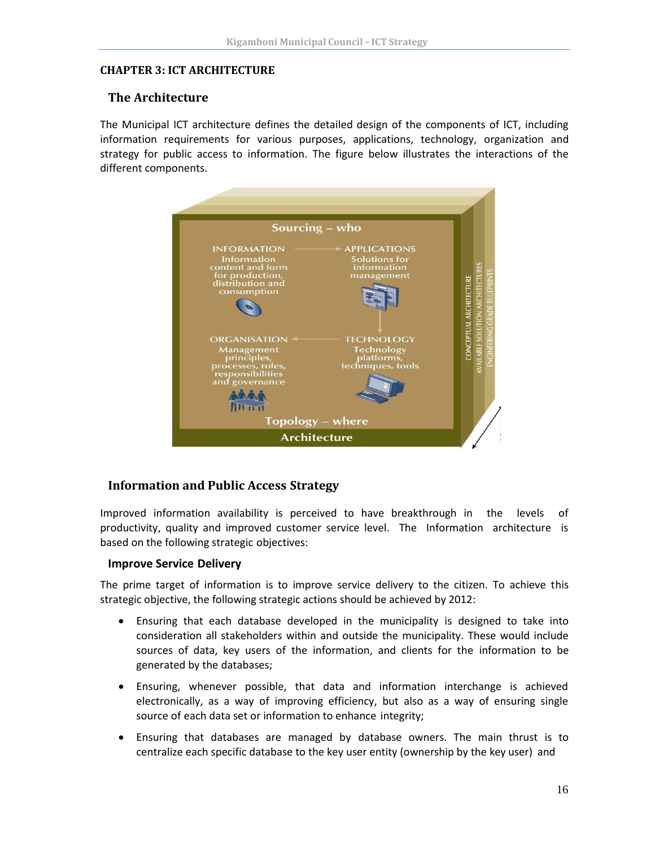#### <span id="page-19-1"></span><span id="page-19-0"></span>**CHAPTER 3: ICT ARCHITECTURE**

#### **The Architecture**

The Municipal ICT architecture defines the detailed design of the components of ICT, including information requirements for various purposes, applications, technology, organization and strategy for public access to information. The figure below illustrates the interactions of the different components.



#### <span id="page-19-2"></span>**Information and Public Access Strategy**

Improved information availability is perceived to have breakthrough in the levels of productivity, quality and improved customer service level. The Information architecture is based on the following strategic objectives:

#### **Improve Service Delivery**

The prime target of information is to improve service delivery to the citizen. To achieve this strategic objective, the following strategic actions should be achieved by 2012:

- Ensuring that each database developed in the municipality is designed to take into consideration all stakeholders within and outside the municipality. These would include sources of data, key users of the information, and clients for the information to be generated by the databases;
- Ensuring, whenever possible, that data and information interchange is achieved electronically, as a way of improving efficiency, but also as a way of ensuring single source of each data set or information to enhance integrity;
- Ensuring that databases are managed by database owners. The main thrust is to centralize each specific database to the key user entity (ownership by the key user) and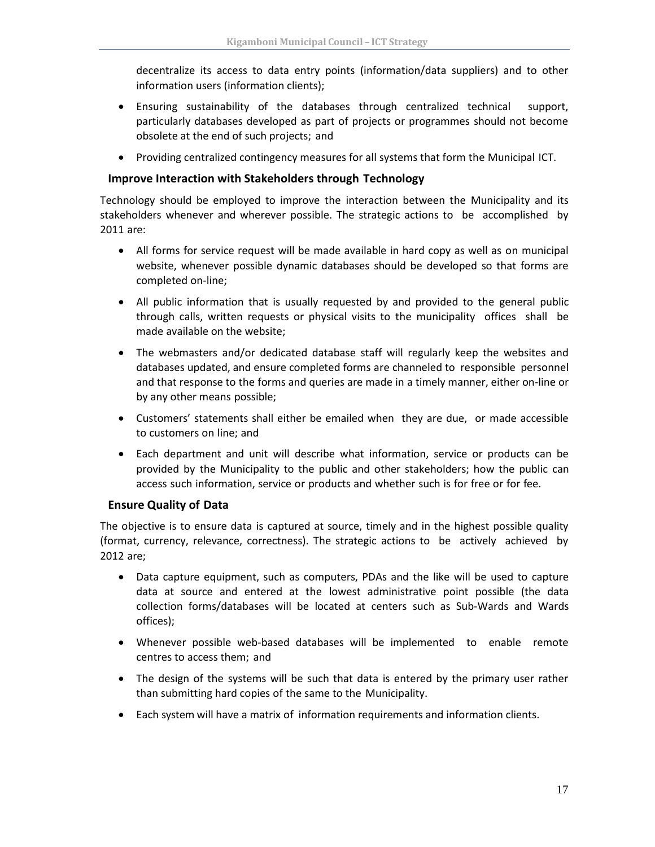decentralize its access to data entry points (information/data suppliers) and to other information users (information clients);

- Ensuring sustainability of the databases through centralized technical support, particularly databases developed as part of projects or programmes should not become obsolete at the end of such projects; and
- Providing centralized contingency measures for all systems that form the Municipal ICT.

#### **Improve Interaction with Stakeholders through Technology**

Technology should be employed to improve the interaction between the Municipality and its stakeholders whenever and wherever possible. The strategic actions to be accomplished by 2011 are:

- All forms for service request will be made available in hard copy as well as on municipal website, whenever possible dynamic databases should be developed so that forms are completed on-line;
- All public information that is usually requested by and provided to the general public through calls, written requests or physical visits to the municipality offices shall be made available on the website;
- The webmasters and/or dedicated database staff will regularly keep the websites and databases updated, and ensure completed forms are channeled to responsible personnel and that response to the forms and queries are made in a timely manner, either on-line or by any other means possible;
- Customers' statements shall either be emailed when they are due, or made accessible to customers on line; and
- Each department and unit will describe what information, service or products can be provided by the Municipality to the public and other stakeholders; how the public can access such information, service or products and whether such is for free or for fee.

#### **Ensure Quality of Data**

The objective is to ensure data is captured at source, timely and in the highest possible quality (format, currency, relevance, correctness). The strategic actions to be actively achieved by 2012 are;

- Data capture equipment, such as computers, PDAs and the like will be used to capture data at source and entered at the lowest administrative point possible (the data collection forms/databases will be located at centers such as Sub-Wards and Wards offices);
- Whenever possible web-based databases will be implemented to enable remote centres to access them; and
- The design of the systems will be such that data is entered by the primary user rather than submitting hard copies of the same to the Municipality.
- Each system will have a matrix of information requirements and information clients.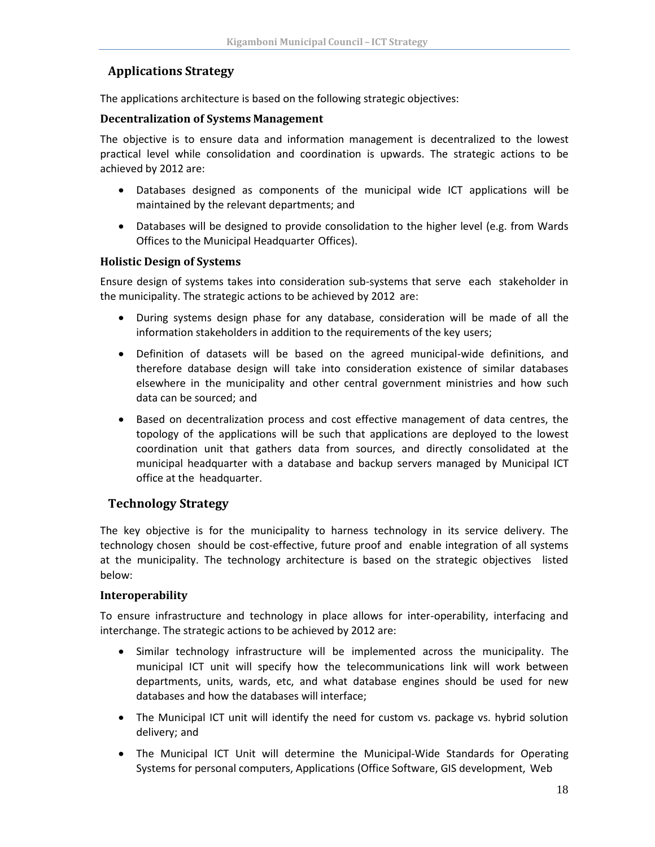# <span id="page-21-0"></span>**Applications Strategy**

The applications architecture is based on the following strategic objectives:

#### **Decentralization of Systems Management**

The objective is to ensure data and information management is decentralized to the lowest practical level while consolidation and coordination is upwards. The strategic actions to be achieved by 2012 are:

- Databases designed as components of the municipal wide ICT applications will be maintained by the relevant departments; and
- Databases will be designed to provide consolidation to the higher level (e.g. from Wards Offices to the Municipal Headquarter Offices).

#### **Holistic Design of Systems**

Ensure design of systems takes into consideration sub-systems that serve each stakeholder in the municipality. The strategic actions to be achieved by 2012 are:

- During systems design phase for any database, consideration will be made of all the information stakeholders in addition to the requirements of the key users;
- Definition of datasets will be based on the agreed municipal-wide definitions, and therefore database design will take into consideration existence of similar databases elsewhere in the municipality and other central government ministries and how such data can be sourced; and
- Based on decentralization process and cost effective management of data centres, the topology of the applications will be such that applications are deployed to the lowest coordination unit that gathers data from sources, and directly consolidated at the municipal headquarter with a database and backup servers managed by Municipal ICT office at the headquarter.

#### <span id="page-21-1"></span>**Technology Strategy**

The key objective is for the municipality to harness technology in its service delivery. The technology chosen should be cost-effective, future proof and enable integration of all systems at the municipality. The technology architecture is based on the strategic objectives listed below:

#### **Interoperability**

To ensure infrastructure and technology in place allows for inter-operability, interfacing and interchange. The strategic actions to be achieved by 2012 are:

- Similar technology infrastructure will be implemented across the municipality. The municipal ICT unit will specify how the telecommunications link will work between departments, units, wards, etc, and what database engines should be used for new databases and how the databases will interface;
- The Municipal ICT unit will identify the need for custom vs. package vs. hybrid solution delivery; and
- The Municipal ICT Unit will determine the Municipal-Wide Standards for Operating Systems for personal computers, Applications (Office Software, GIS development, Web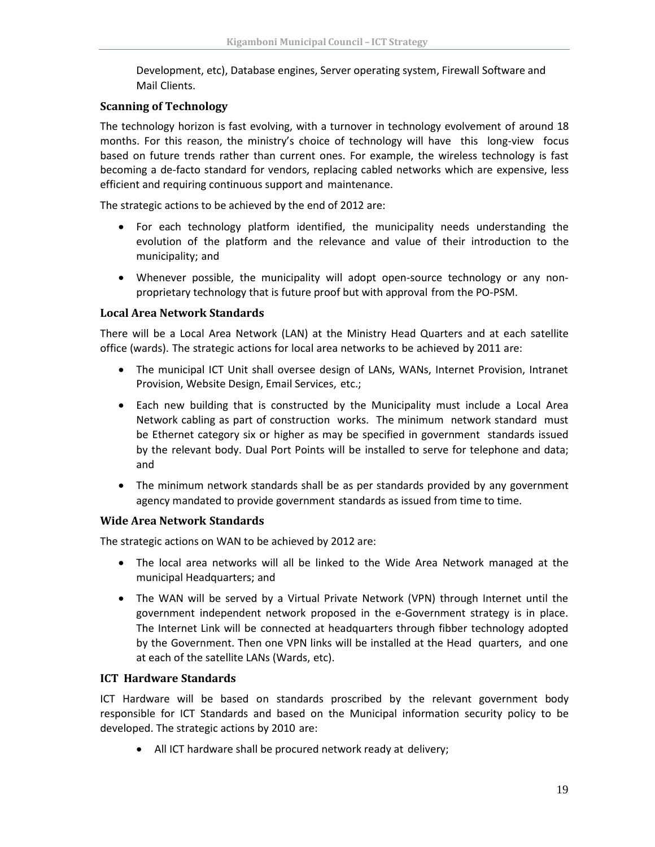Development, etc), Database engines, Server operating system, Firewall Software and Mail Clients.

#### **Scanning of Technology**

The technology horizon is fast evolving, with a turnover in technology evolvement of around 18 months. For this reason, the ministry's choice of technology will have this long-view focus based on future trends rather than current ones. For example, the wireless technology is fast becoming a de-facto standard for vendors, replacing cabled networks which are expensive, less efficient and requiring continuous support and maintenance.

The strategic actions to be achieved by the end of 2012 are:

- For each technology platform identified, the municipality needs understanding the evolution of the platform and the relevance and value of their introduction to the municipality; and
- Whenever possible, the municipality will adopt open-source technology or any nonproprietary technology that is future proof but with approval from the PO-PSM.

#### **Local Area Network Standards**

There will be a Local Area Network (LAN) at the Ministry Head Quarters and at each satellite office (wards). The strategic actions for local area networks to be achieved by 2011 are:

- The municipal ICT Unit shall oversee design of LANs, WANs, Internet Provision, Intranet Provision, Website Design, Email Services, etc.;
- Each new building that is constructed by the Municipality must include a Local Area Network cabling as part of construction works. The minimum network standard must be Ethernet category six or higher as may be specified in government standards issued by the relevant body. Dual Port Points will be installed to serve for telephone and data; and
- The minimum network standards shall be as per standards provided by any government agency mandated to provide government standards as issued from time to time.

#### **Wide Area Network Standards**

The strategic actions on WAN to be achieved by 2012 are:

- The local area networks will all be linked to the Wide Area Network managed at the municipal Headquarters; and
- The WAN will be served by a Virtual Private Network (VPN) through Internet until the government independent network proposed in the e-Government strategy is in place. The Internet Link will be connected at headquarters through fibber technology adopted by the Government. Then one VPN links will be installed at the Head quarters, and one at each of the satellite LANs (Wards, etc).

#### **ICT Hardware Standards**

ICT Hardware will be based on standards proscribed by the relevant government body responsible for ICT Standards and based on the Municipal information security policy to be developed. The strategic actions by 2010 are:

• All ICT hardware shall be procured network ready at delivery;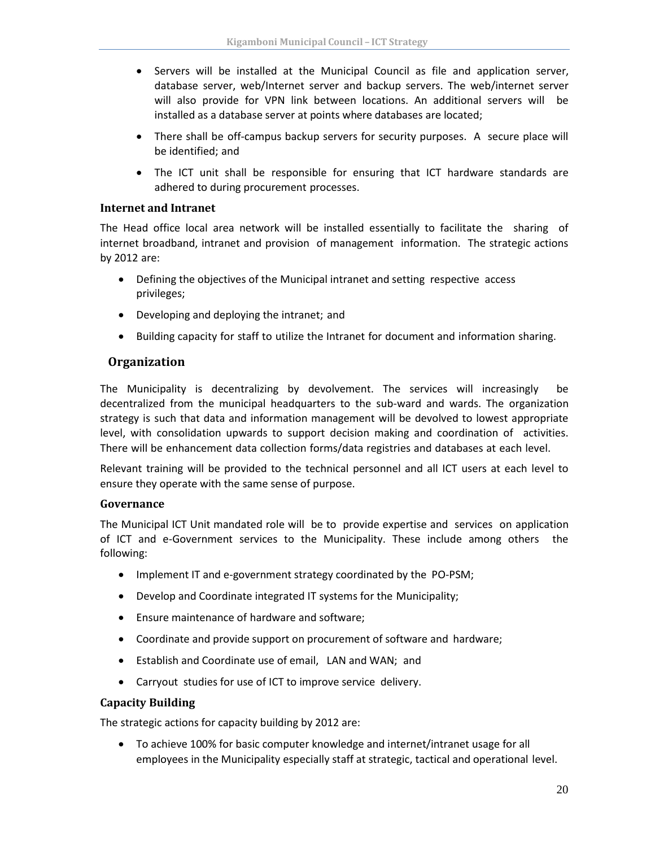- Servers will be installed at the Municipal Council as file and application server, database server, web/Internet server and backup servers. The web/internet server will also provide for VPN link between locations. An additional servers will be installed as a database server at points where databases are located;
- There shall be off-campus backup servers for security purposes. A secure place will be identified; and
- The ICT unit shall be responsible for ensuring that ICT hardware standards are adhered to during procurement processes.

#### **Internet and Intranet**

The Head office local area network will be installed essentially to facilitate the sharing of internet broadband, intranet and provision of management information. The strategic actions by 2012 are:

- Defining the objectives of the Municipal intranet and setting respective access privileges;
- Developing and deploying the intranet; and
- Building capacity for staff to utilize the Intranet for document and information sharing.

# <span id="page-23-0"></span>**Organization**

The Municipality is decentralizing by devolvement. The services will increasingly be decentralized from the municipal headquarters to the sub-ward and wards. The organization strategy is such that data and information management will be devolved to lowest appropriate level, with consolidation upwards to support decision making and coordination of activities. There will be enhancement data collection forms/data registries and databases at each level.

Relevant training will be provided to the technical personnel and all ICT users at each level to ensure they operate with the same sense of purpose.

#### **Governance**

The Municipal ICT Unit mandated role will be to provide expertise and services on application of ICT and e-Government services to the Municipality. These include among others the following:

- Implement IT and e-government strategy coordinated by the PO-PSM;
- Develop and Coordinate integrated IT systems for the Municipality;
- Ensure maintenance of hardware and software;
- Coordinate and provide support on procurement of software and hardware;
- Establish and Coordinate use of email, LAN and WAN; and
- Carryout studies for use of ICT to improve service delivery.

#### **Capacity Building**

The strategic actions for capacity building by 2012 are:

• To achieve 100% for basic computer knowledge and internet/intranet usage for all employees in the Municipality especially staff at strategic, tactical and operational level.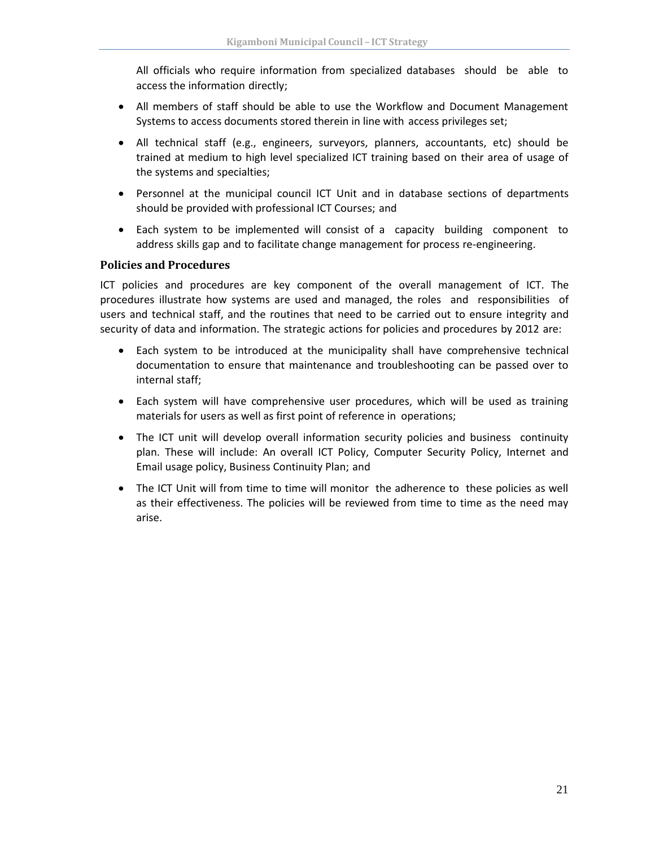All officials who require information from specialized databases should be able to access the information directly;

- All members of staff should be able to use the Workflow and Document Management Systems to access documents stored therein in line with access privileges set;
- All technical staff (e.g., engineers, surveyors, planners, accountants, etc) should be trained at medium to high level specialized ICT training based on their area of usage of the systems and specialties;
- Personnel at the municipal council ICT Unit and in database sections of departments should be provided with professional ICT Courses; and
- Each system to be implemented will consist of a capacity building component to address skills gap and to facilitate change management for process re-engineering.

#### **Policies and Procedures**

ICT policies and procedures are key component of the overall management of ICT. The procedures illustrate how systems are used and managed, the roles and responsibilities of users and technical staff, and the routines that need to be carried out to ensure integrity and security of data and information. The strategic actions for policies and procedures by 2012 are:

- Each system to be introduced at the municipality shall have comprehensive technical documentation to ensure that maintenance and troubleshooting can be passed over to internal staff;
- Each system will have comprehensive user procedures, which will be used as training materials for users as well as first point of reference in operations;
- The ICT unit will develop overall information security policies and business continuity plan. These will include: An overall ICT Policy, Computer Security Policy, Internet and Email usage policy, Business Continuity Plan; and
- The ICT Unit will from time to time will monitor the adherence to these policies as well as their effectiveness. The policies will be reviewed from time to time as the need may arise.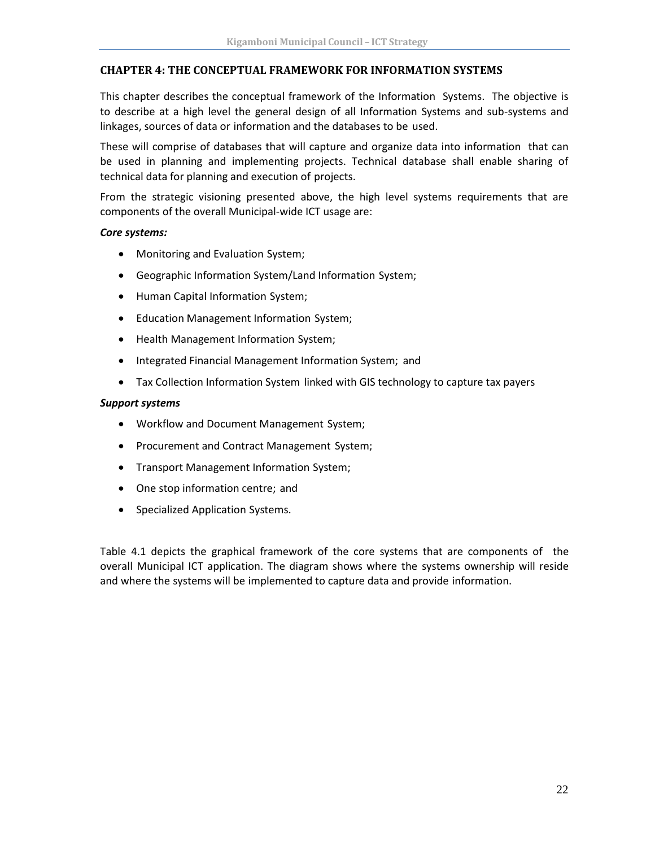#### <span id="page-25-0"></span>**CHAPTER 4: THE CONCEPTUAL FRAMEWORK FOR INFORMATION SYSTEMS**

This chapter describes the conceptual framework of the Information Systems. The objective is to describe at a high level the general design of all Information Systems and sub-systems and linkages, sources of data or information and the databases to be used.

These will comprise of databases that will capture and organize data into information that can be used in planning and implementing projects. Technical database shall enable sharing of technical data for planning and execution of projects.

From the strategic visioning presented above, the high level systems requirements that are components of the overall Municipal-wide ICT usage are:

#### *Core systems:*

- Monitoring and Evaluation System;
- Geographic Information System/Land Information System;
- Human Capital Information System;
- Education Management Information System;
- Health Management Information System;
- Integrated Financial Management Information System; and
- Tax Collection Information System linked with GIS technology to capture tax payers

#### *Support systems*

- Workflow and Document Management System;
- Procurement and Contract Management System;
- Transport Management Information System;
- One stop information centre; and
- Specialized Application Systems.

Table 4.1 depicts the graphical framework of the core systems that are components of the overall Municipal ICT application. The diagram shows where the systems ownership will reside and where the systems will be implemented to capture data and provide information.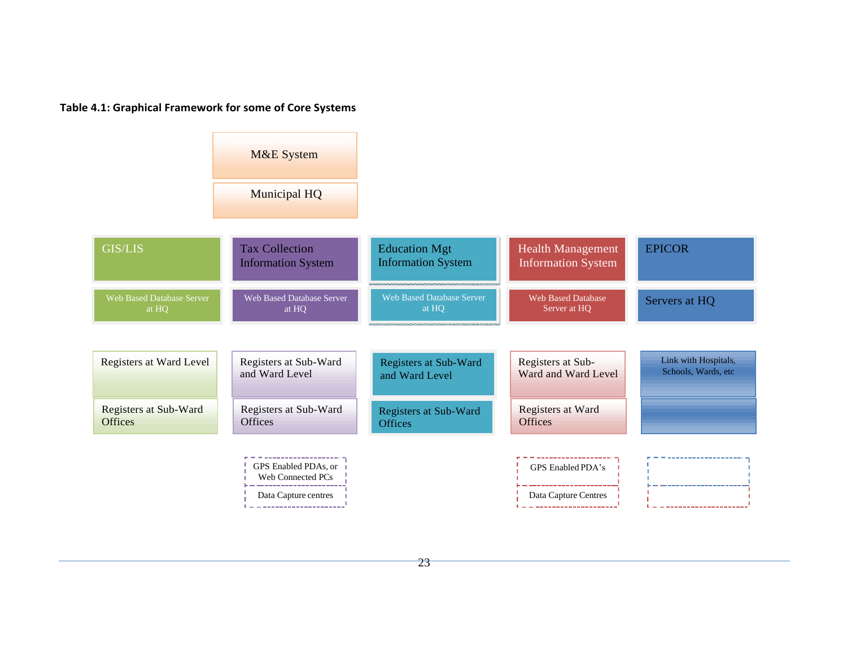#### **Table 4.1: Graphical Framework for some of Core Systems**



 $23$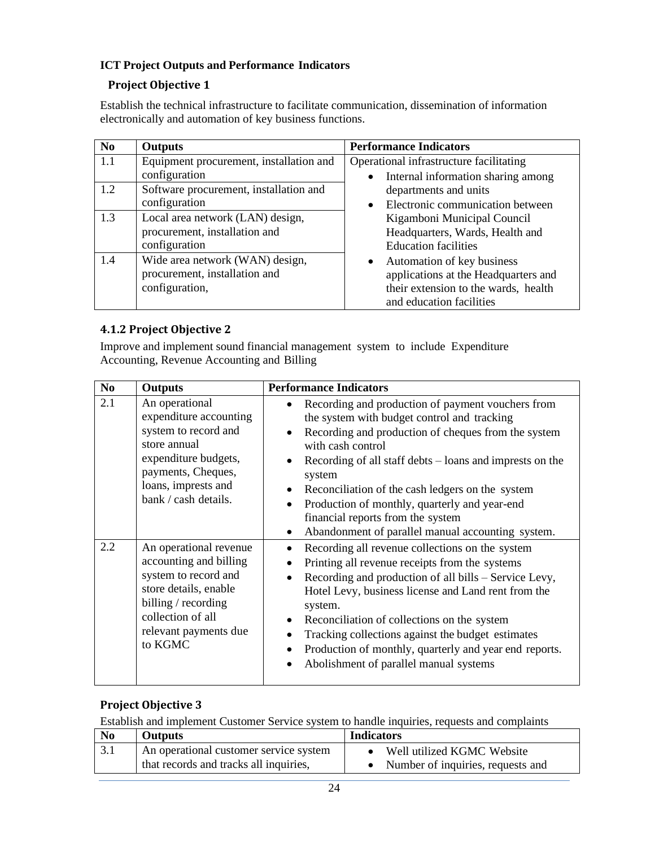# <span id="page-27-0"></span>**ICT Project Outputs and Performance Indicators**

# **Project Objective 1**

Establish the technical infrastructure to facilitate communication, dissemination of information electronically and automation of key business functions.

| N <sub>0</sub> | <b>Outputs</b>                                                                     | <b>Performance Indicators</b>                                                                                                                       |
|----------------|------------------------------------------------------------------------------------|-----------------------------------------------------------------------------------------------------------------------------------------------------|
| 1.1            | Equipment procurement, installation and<br>configuration                           | Operational infrastructure facilitating<br>Internal information sharing among                                                                       |
| 1.2            | Software procurement, installation and<br>configuration                            | departments and units<br>Electronic communication between<br>$\bullet$                                                                              |
| 1.3            | Local area network (LAN) design,<br>procurement, installation and<br>configuration | Kigamboni Municipal Council<br>Headquarters, Wards, Health and<br><b>Education facilities</b>                                                       |
| 1.4            | Wide area network (WAN) design,<br>procurement, installation and<br>configuration, | Automation of key business<br>$\bullet$<br>applications at the Headquarters and<br>their extension to the wards, health<br>and education facilities |

# **4.1.2 Project Objective 2**

Improve and implement sound financial management system to include Expenditure Accounting, Revenue Accounting and Billing

| N <sub>0</sub> | <b>Outputs</b>                                                                                                                                                                    | <b>Performance Indicators</b>                                                                                                                                                                                                                                                                                                                                                                                                                                    |
|----------------|-----------------------------------------------------------------------------------------------------------------------------------------------------------------------------------|------------------------------------------------------------------------------------------------------------------------------------------------------------------------------------------------------------------------------------------------------------------------------------------------------------------------------------------------------------------------------------------------------------------------------------------------------------------|
| 2.1            | An operational<br>expenditure accounting<br>system to record and<br>store annual<br>expenditure budgets,<br>payments, Cheques,<br>loans, imprests and<br>bank / cash details.     | Recording and production of payment vouchers from<br>the system with budget control and tracking<br>Recording and production of cheques from the system<br>with cash control<br>Recording of all staff debts $-$ loans and imprests on the<br>system<br>Reconciliation of the cash ledgers on the system<br>Production of monthly, quarterly and year-end<br>$\bullet$<br>financial reports from the system<br>Abandonment of parallel manual accounting system. |
| 2.2            | An operational revenue<br>accounting and billing<br>system to record and<br>store details, enable<br>billing / recording<br>collection of all<br>relevant payments due<br>to KGMC | Recording all revenue collections on the system<br>Printing all revenue receipts from the systems<br>Recording and production of all bills - Service Levy,<br>Hotel Levy, business license and Land rent from the<br>system.<br>Reconciliation of collections on the system<br>Tracking collections against the budget estimates<br>Production of monthly, quarterly and year end reports.<br>Abolishment of parallel manual systems                             |

# **Project Objective 3**

Establish and implement Customer Service system to handle inquiries, requests and complaints

| N <sub>0</sub> | Outputs                                                                          | <b>Indicators</b>                                               |
|----------------|----------------------------------------------------------------------------------|-----------------------------------------------------------------|
|                | An operational customer service system<br>that records and tracks all inquiries, | Well utilized KGMC Website<br>Number of inquiries, requests and |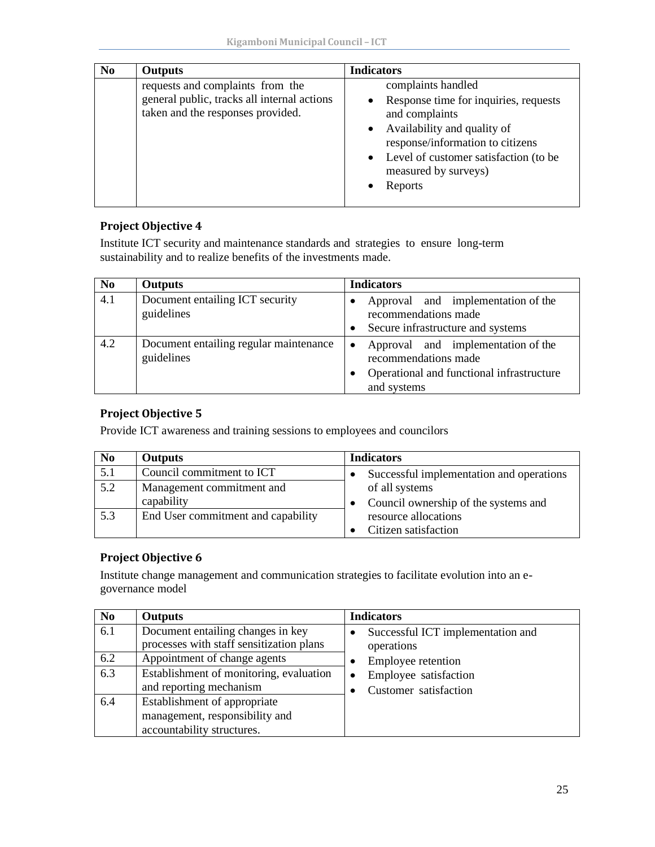| N <sub>0</sub> | <b>Outputs</b>                                                                                                       | <b>Indicators</b>                                                                                                                                                                                                                |
|----------------|----------------------------------------------------------------------------------------------------------------------|----------------------------------------------------------------------------------------------------------------------------------------------------------------------------------------------------------------------------------|
|                | requests and complaints from the<br>general public, tracks all internal actions<br>taken and the responses provided. | complaints handled<br>Response time for inquiries, requests<br>and complaints<br>• Availability and quality of<br>response/information to citizens<br>• Level of customer satisfaction (to be<br>measured by surveys)<br>Reports |

#### **Project Objective 4**

Institute ICT security and maintenance standards and strategies to ensure long-term sustainability and to realize benefits of the investments made.

| N <sub>0</sub> | <b>Outputs</b>                                       | <b>Indicators</b>                                                                                                                   |
|----------------|------------------------------------------------------|-------------------------------------------------------------------------------------------------------------------------------------|
| 4.1            | Document entailing ICT security<br>guidelines        | Approval and implementation of the<br>recommendations made<br>Secure infrastructure and systems                                     |
| 4.2            | Document entailing regular maintenance<br>guidelines | Approval and implementation of the<br>$\bullet$<br>recommendations made<br>Operational and functional infrastructure<br>and systems |

# **Project Objective 5**

Provide ICT awareness and training sessions to employees and councilors

| N <sub>0</sub> | <b>Outputs</b>                     | <b>Indicators</b>                        |
|----------------|------------------------------------|------------------------------------------|
| 5.1            | Council commitment to ICT          | Successful implementation and operations |
| 5.2            | Management commitment and          | of all systems                           |
|                | capability                         | Council ownership of the systems and     |
| 5.3            | End User commitment and capability | resource allocations                     |
|                |                                    | Citizen satisfaction                     |

#### **Project Objective 6**

Institute change management and communication strategies to facilitate evolution into an egovernance model

| N <sub>0</sub> | <b>Outputs</b>                                                                               | <b>Indicators</b>                               |
|----------------|----------------------------------------------------------------------------------------------|-------------------------------------------------|
| 6.1            | Document entailing changes in key<br>processes with staff sensitization plans                | Successful ICT implementation and<br>operations |
| 6.2            | Appointment of change agents                                                                 | Employee retention                              |
| 6.3            | Establishment of monitoring, evaluation<br>and reporting mechanism                           | Employee satisfaction<br>Customer satisfaction  |
| 6.4            | Establishment of appropriate<br>management, responsibility and<br>accountability structures. |                                                 |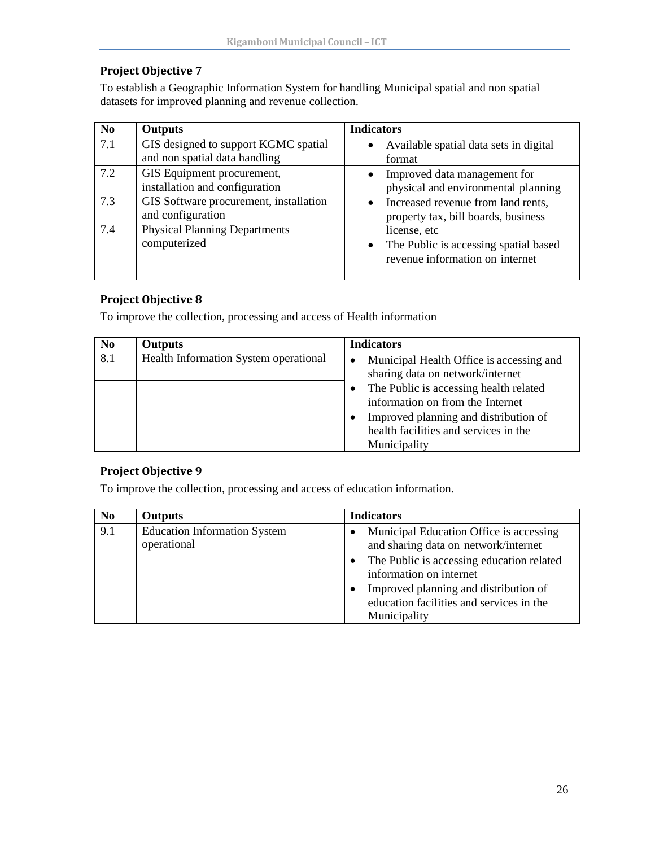# **Project Objective 7**

To establish a Geographic Information System for handling Municipal spatial and non spatial datasets for improved planning and revenue collection.

| N <sub>0</sub> | <b>Outputs</b>                                                        | <b>Indicators</b>                                                                                     |
|----------------|-----------------------------------------------------------------------|-------------------------------------------------------------------------------------------------------|
| 7.1            | GIS designed to support KGMC spatial<br>and non spatial data handling | Available spatial data sets in digital<br>$\bullet$<br>format                                         |
| 7.2            | GIS Equipment procurement,<br>installation and configuration          | Improved data management for<br>physical and environmental planning                                   |
| 7.3            | GIS Software procurement, installation<br>and configuration           | Increased revenue from land rents,<br>$\bullet$<br>property tax, bill boards, business                |
| 7.4            | <b>Physical Planning Departments</b><br>computerized                  | license, etc<br>The Public is accessing spatial based<br>$\bullet$<br>revenue information on internet |

# **Project Objective 8**

To improve the collection, processing and access of Health information

| N <sub>0</sub> | <b>Outputs</b>                        | <b>Indicators</b>                                     |  |
|----------------|---------------------------------------|-------------------------------------------------------|--|
| 8.1            | Health Information System operational | Municipal Health Office is accessing and<br>$\bullet$ |  |
|                |                                       | sharing data on network/internet                      |  |
|                |                                       | The Public is accessing health related                |  |
|                |                                       | information on from the Internet                      |  |
|                |                                       | Improved planning and distribution of                 |  |
|                |                                       | health facilities and services in the                 |  |
|                |                                       | Municipality                                          |  |

# **Project Objective 9**

To improve the collection, processing and access of education information.

| N <sub>0</sub> | <b>Outputs</b>                                     | <b>Indicators</b>                                                                                      |
|----------------|----------------------------------------------------|--------------------------------------------------------------------------------------------------------|
| 9.1            | <b>Education Information System</b><br>operational | Municipal Education Office is accessing<br>$\bullet$<br>and sharing data on network/internet           |
|                |                                                    | The Public is accessing education related<br>information on internet                                   |
|                |                                                    | Improved planning and distribution of<br>٠<br>education facilities and services in the<br>Municipality |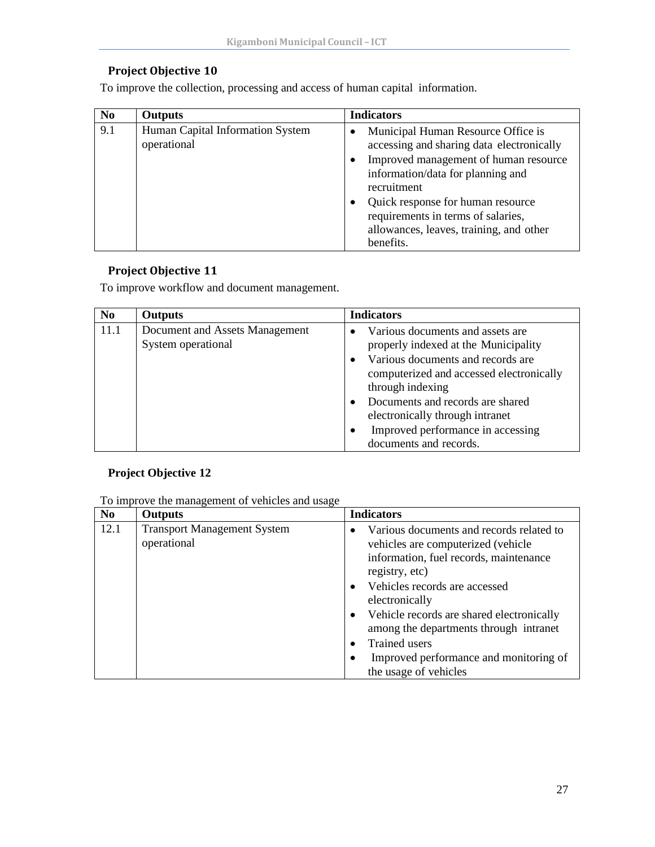# **Project Objective 10**

To improve the collection, processing and access of human capital information.

**Strategy:2020**

| N <sub>0</sub> | <b>Outputs</b>                                  | <b>Indicators</b>                                                                                                                                                                                                                                                                                                                      |
|----------------|-------------------------------------------------|----------------------------------------------------------------------------------------------------------------------------------------------------------------------------------------------------------------------------------------------------------------------------------------------------------------------------------------|
| 9.1            | Human Capital Information System<br>operational | Municipal Human Resource Office is<br>$\bullet$<br>accessing and sharing data electronically<br>Improved management of human resource<br>٠<br>information/data for planning and<br>recruitment<br>Quick response for human resource<br>٠<br>requirements in terms of salaries,<br>allowances, leaves, training, and other<br>benefits. |

# **Project Objective 11**

To improve workflow and document management.

| N <sub>0</sub> | <b>Outputs</b>                 | <b>Indicators</b>                              |
|----------------|--------------------------------|------------------------------------------------|
| 11.1           | Document and Assets Management | Various documents and assets are<br>$\bullet$  |
|                | System operational             | properly indexed at the Municipality           |
|                |                                | Various documents and records are<br>$\bullet$ |
|                |                                | computerized and accessed electronically       |
|                |                                | through indexing                               |
|                |                                | Documents and records are shared               |
|                |                                | electronically through intranet                |
|                |                                | Improved performance in accessing              |
|                |                                | documents and records.                         |

# **Project Objective 12**

To improve the management of vehicles and usage

| N <sub>0</sub> | <b>Outputs</b>                                    | <b>Indicators</b>                                                                                                                                                                                                                                                                                                                                                   |
|----------------|---------------------------------------------------|---------------------------------------------------------------------------------------------------------------------------------------------------------------------------------------------------------------------------------------------------------------------------------------------------------------------------------------------------------------------|
| 12.1           | <b>Transport Management System</b><br>operational | Various documents and records related to<br>vehicles are computerized (vehicle<br>information, fuel records, maintenance<br>registry, etc)<br>Vehicles records are accessed<br>electronically<br>Vehicle records are shared electronically<br>$\bullet$<br>among the departments through intranet<br><b>Trained</b> users<br>Improved performance and monitoring of |
|                |                                                   | the usage of vehicles                                                                                                                                                                                                                                                                                                                                               |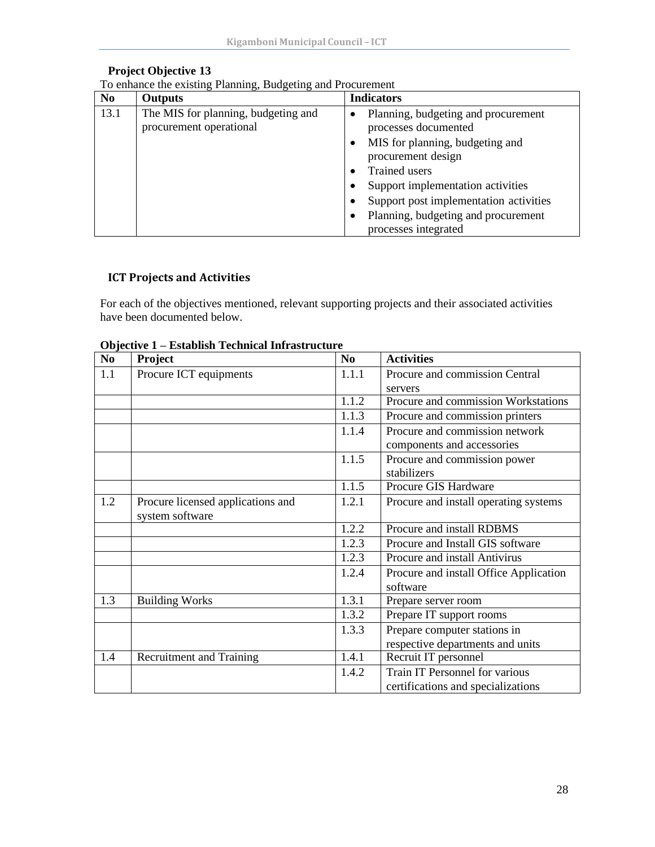| N <sub>0</sub> | <b>Outputs</b>                                                 | <b>Indicators</b>                                           |
|----------------|----------------------------------------------------------------|-------------------------------------------------------------|
| 13.1           | The MIS for planning, budgeting and<br>procurement operational | Planning, budgeting and procurement<br>processes documented |
|                |                                                                | MIS for planning, budgeting and<br>procurement design       |
|                |                                                                | <b>Trained</b> users                                        |
|                |                                                                | Support implementation activities                           |
|                |                                                                | Support post implementation activities                      |
|                |                                                                | Planning, budgeting and procurement<br>processes integrated |

#### **Project Objective 13**

|  | To enhance the existing Planning, Budgeting and Procurement |
|--|-------------------------------------------------------------|

**Strategy:2020**

# <span id="page-31-0"></span>**ICT Projects and Activities**

For each of the objectives mentioned, relevant supporting projects and their associated activities have been documented below.

| N <sub>0</sub> | Project                           | N <sub>0</sub> | <b>Activities</b>                      |
|----------------|-----------------------------------|----------------|----------------------------------------|
| 1.1            | Procure ICT equipments            | 1.1.1          | Procure and commission Central         |
|                |                                   |                | servers                                |
|                |                                   | 1.1.2          | Procure and commission Workstations    |
|                |                                   | 1.1.3          | Procure and commission printers        |
|                |                                   | 1.1.4          | Procure and commission network         |
|                |                                   |                | components and accessories             |
|                |                                   | 1.1.5          | Procure and commission power           |
|                |                                   |                | stabilizers                            |
|                |                                   | 1.1.5          | Procure GIS Hardware                   |
| 1.2            | Procure licensed applications and | 1.2.1          | Procure and install operating systems  |
|                | system software                   |                |                                        |
|                |                                   | 1.2.2          | Procure and install RDBMS              |
|                |                                   | 1.2.3          | Procure and Install GIS software       |
|                |                                   | 1.2.3          | Procure and install Antivirus          |
|                |                                   | 1.2.4          | Procure and install Office Application |
|                |                                   |                | software                               |
| 1.3            | <b>Building Works</b>             | 1.3.1          | Prepare server room                    |
|                |                                   | 1.3.2          | Prepare IT support rooms               |
|                |                                   | 1.3.3          | Prepare computer stations in           |
|                |                                   |                | respective departments and units       |
| 1.4            | <b>Recruitment and Training</b>   | 1.4.1          | Recruit IT personnel                   |
|                |                                   | 1.4.2          | Train IT Personnel for various         |
|                |                                   |                | certifications and specializations     |

#### **Objective 1 – Establish Technical Infrastructure**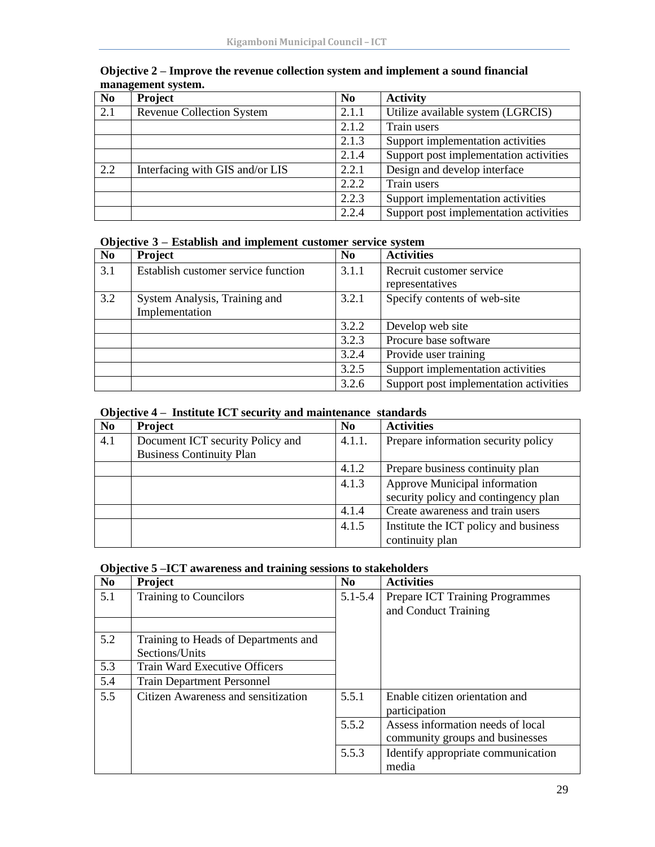| N <sub>0</sub> | Project                          | N <sub>0</sub> | <b>Activity</b>                        |
|----------------|----------------------------------|----------------|----------------------------------------|
| 2.1            | <b>Revenue Collection System</b> | 2.1.1          | Utilize available system (LGRCIS)      |
|                |                                  | 2.1.2          | Train users                            |
|                |                                  | 2.1.3          | Support implementation activities      |
|                |                                  | 2.1.4          | Support post implementation activities |
| 2.2            | Interfacing with GIS and/or LIS  | 2.2.1          | Design and develop interface           |
|                |                                  | 2.2.2          | Train users                            |
|                |                                  | 2.2.3          | Support implementation activities      |
|                |                                  | 2.2.4          | Support post implementation activities |

#### **Objective 2 – Improve the revenue collection system and implement a sound financial management system.**

#### **Objective 3 – Establish and implement customer service system**

**Strategy:2020**

| N <sub>0</sub> | Project                             | N <sub>0</sub> | <b>Activities</b>                      |
|----------------|-------------------------------------|----------------|----------------------------------------|
| 3.1            | Establish customer service function | 3.1.1          | Recruit customer service               |
|                |                                     |                | representatives                        |
| 3.2            | System Analysis, Training and       | 3.2.1          | Specify contents of web-site           |
|                | Implementation                      |                |                                        |
|                |                                     | 3.2.2          | Develop web site                       |
|                |                                     | 3.2.3          | Procure base software                  |
|                |                                     | 3.2.4          | Provide user training                  |
|                |                                     | 3.2.5          | Support implementation activities      |
|                |                                     | 3.2.6          | Support post implementation activities |

# **Objective 4 – Institute ICT security and maintenance standards**

| N <sub>0</sub> | Project                          | N <sub>0</sub> | <b>Activities</b>                     |
|----------------|----------------------------------|----------------|---------------------------------------|
| 4.1            | Document ICT security Policy and | 4.1.1.         | Prepare information security policy   |
|                | <b>Business Continuity Plan</b>  |                |                                       |
|                |                                  | 4.1.2          | Prepare business continuity plan      |
|                |                                  | 4.1.3          | Approve Municipal information         |
|                |                                  |                | security policy and contingency plan  |
|                |                                  | 4.1.4          | Create awareness and train users      |
|                |                                  | 4.1.5          | Institute the ICT policy and business |
|                |                                  |                | continuity plan                       |

# **Objective 5 –ICT awareness and training sessions to stakeholders**

| N <sub>0</sub> | Project                              | N <sub>0</sub> | <b>Activities</b>                  |
|----------------|--------------------------------------|----------------|------------------------------------|
| 5.1            | Training to Councilors               | $5.1 - 5.4$    | Prepare ICT Training Programmes    |
|                |                                      |                | and Conduct Training               |
|                |                                      |                |                                    |
| 5.2            | Training to Heads of Departments and |                |                                    |
|                | Sections/Units                       |                |                                    |
| 5.3            | <b>Train Ward Executive Officers</b> |                |                                    |
| 5.4            | <b>Train Department Personnel</b>    |                |                                    |
| 5.5            | Citizen Awareness and sensitization  | 5.5.1          | Enable citizen orientation and     |
|                |                                      |                | participation                      |
|                |                                      | 5.5.2          | Assess information needs of local  |
|                |                                      |                | community groups and businesses    |
|                |                                      | 5.5.3          | Identify appropriate communication |
|                |                                      |                | media                              |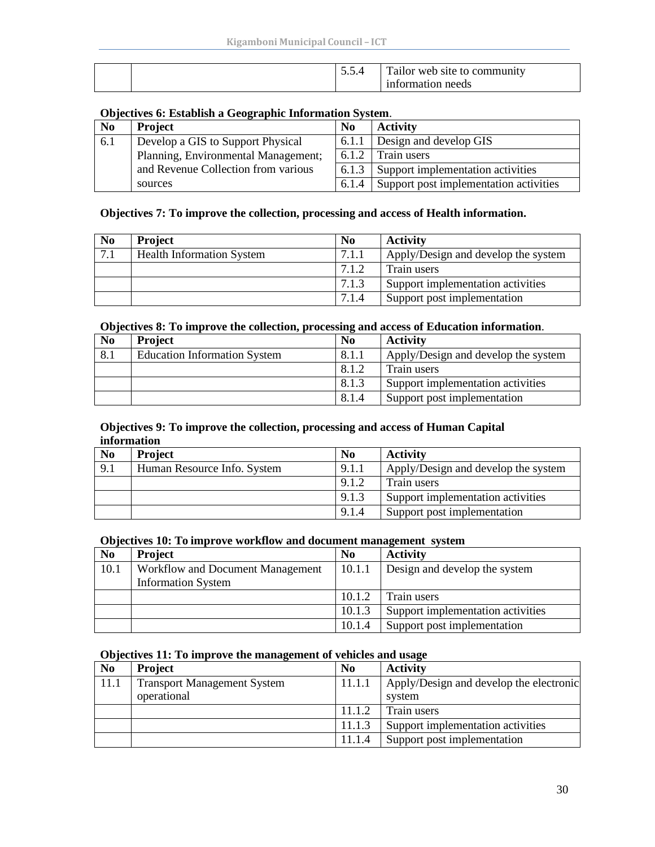|  | J.J. <sup>−</sup> | Tailor web site to community |
|--|-------------------|------------------------------|
|  |                   | information needs            |

#### **Objectives 6: Establish a Geographic Information System**.

**Strategy:2020**

| N <sub>0</sub> | <b>Project</b>                                                                                                                             | N <sub>0</sub> | <b>Activity</b>                        |
|----------------|--------------------------------------------------------------------------------------------------------------------------------------------|----------------|----------------------------------------|
| 6.1            | 6.1.1<br>Develop a GIS to Support Physical<br>Planning, Environmental Management;<br>6.1.2<br>and Revenue Collection from various<br>6.1.3 |                | Design and develop GIS                 |
|                |                                                                                                                                            |                | Train users                            |
|                |                                                                                                                                            |                | Support implementation activities      |
|                | sources                                                                                                                                    | 6.1.4          | Support post implementation activities |

#### **Objectives 7: To improve the collection, processing and access of Health information.**

| N <sub>0</sub> | <b>Project</b>                   | N <sub>0</sub> | <b>Activity</b>                     |
|----------------|----------------------------------|----------------|-------------------------------------|
| 7.1            | <b>Health Information System</b> | 7.1.1          | Apply/Design and develop the system |
|                |                                  | 7.1.2          | Train users                         |
|                |                                  | 7.1.3          | Support implementation activities   |
|                |                                  | 7.1.4          | Support post implementation         |

#### **Objectives 8: To improve the collection, processing and access of Education information**.

| N <sub>0</sub> | <b>Project</b>                      | N <sub>0</sub> | <b>Activity</b>                     |
|----------------|-------------------------------------|----------------|-------------------------------------|
| 8.1            | <b>Education Information System</b> | 8.1.1          | Apply/Design and develop the system |
|                |                                     | 8.1.2          | Train users                         |
|                |                                     | 8.1.3          | Support implementation activities   |
|                |                                     | 8.1.4          | Support post implementation         |

#### **Objectives 9: To improve the collection, processing and access of Human Capital information**

| N <sub>0</sub> | <b>Project</b>              | N <sub>0</sub> | <b>Activity</b>                     |
|----------------|-----------------------------|----------------|-------------------------------------|
| 9.1            | Human Resource Info. System | 9.1.1          | Apply/Design and develop the system |
|                |                             | 9.1.2          | Train users                         |
|                |                             | 9.1.3          | Support implementation activities   |
|                |                             | 9.1.4          | Support post implementation         |

#### **Objectives 10: To improve workflow and document management system**

| N <sub>0</sub> | <b>Project</b>                   | N <sub>0</sub> | <b>Activity</b>                   |
|----------------|----------------------------------|----------------|-----------------------------------|
| 10.1           | Workflow and Document Management | 10.1.1         | Design and develop the system     |
|                | <b>Information System</b>        |                |                                   |
|                |                                  | 10.1.2         | Train users                       |
|                |                                  | 10.1.3         | Support implementation activities |
|                |                                  | 10.1.4         | Support post implementation       |

#### **Objectives 11: To improve the management of vehicles and usage**

| N <sub>0</sub> | <b>Project</b>                     | N <sub>0</sub> | <b>Activity</b>                         |
|----------------|------------------------------------|----------------|-----------------------------------------|
| 11.1           | <b>Transport Management System</b> | 11.1.1         | Apply/Design and develop the electronic |
|                | operational                        |                | system                                  |
|                |                                    | 11.1.2         | Train users                             |
|                |                                    | 11.1.3         | Support implementation activities       |
|                |                                    | 11.1.4         | Support post implementation             |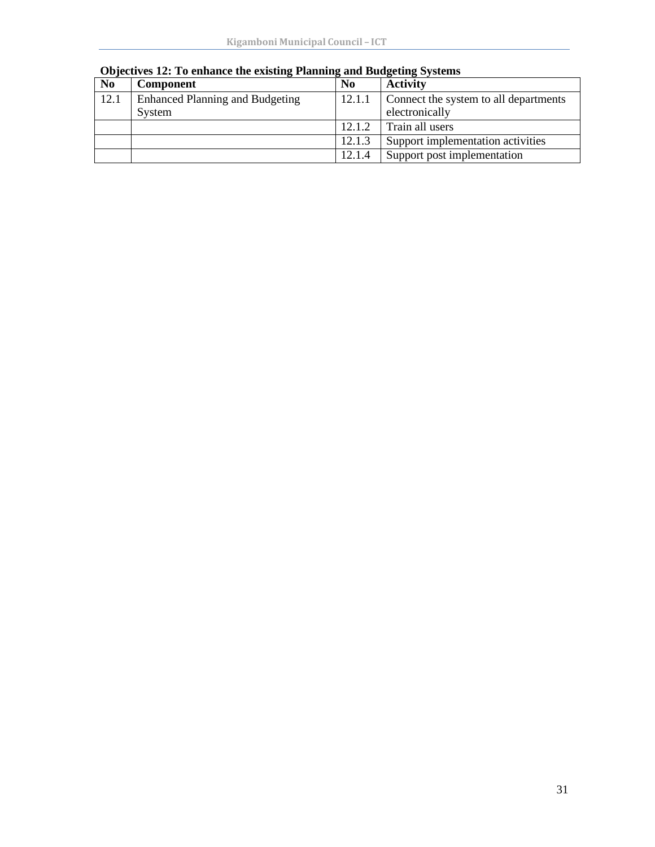| N <sub>0</sub> | <b>Component</b>                       | N <sub>0</sub> | <b>Activity</b>                       |
|----------------|----------------------------------------|----------------|---------------------------------------|
| 12.1           | <b>Enhanced Planning and Budgeting</b> | 12.1.1         | Connect the system to all departments |
|                | System                                 |                | electronically                        |
|                |                                        | 12.1.2         | Train all users                       |
|                |                                        | 12.1.3         | Support implementation activities     |
|                |                                        | 12.1.4         | Support post implementation           |

# **Objectives 12: To enhance the existing Planning and Budgeting Systems**

**Strategy:2020**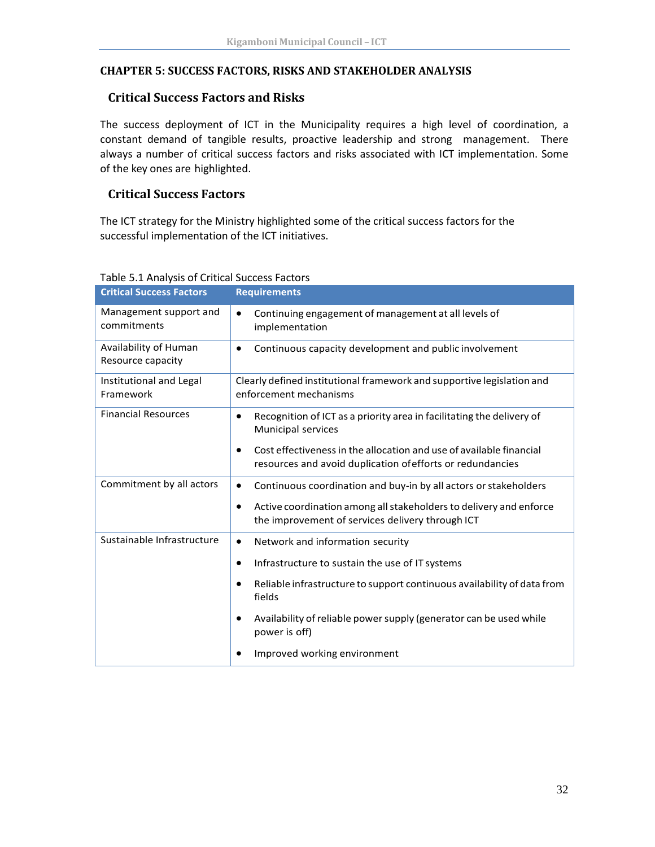#### <span id="page-35-1"></span><span id="page-35-0"></span>**CHAPTER 5: SUCCESS FACTORS, RISKS AND STAKEHOLDER ANALYSIS**

**Strategy:2020**

#### **Critical Success Factors and Risks**

The success deployment of ICT in the Municipality requires a high level of coordination, a constant demand of tangible results, proactive leadership and strong management. There always a number of critical success factors and risks associated with ICT implementation. Some of the key ones are highlighted.

# <span id="page-35-2"></span>**Critical Success Factors**

The ICT strategy for the Ministry highlighted some of the critical success factors for the successful implementation of the ICT initiatives.

| <b>Critical Success Factors</b>            | <b>Requirements</b>                                                                                                                            |
|--------------------------------------------|------------------------------------------------------------------------------------------------------------------------------------------------|
| Management support and<br>commitments      | Continuing engagement of management at all levels of<br>$\bullet$<br>implementation                                                            |
| Availability of Human<br>Resource capacity | Continuous capacity development and public involvement<br>$\bullet$                                                                            |
| Institutional and Legal<br>Framework       | Clearly defined institutional framework and supportive legislation and<br>enforcement mechanisms                                               |
| <b>Financial Resources</b>                 | Recognition of ICT as a priority area in facilitating the delivery of<br>$\bullet$<br><b>Municipal services</b>                                |
|                                            | Cost effectiveness in the allocation and use of available financial<br>$\bullet$<br>resources and avoid duplication of efforts or redundancies |
| Commitment by all actors                   | Continuous coordination and buy-in by all actors or stakeholders<br>$\bullet$                                                                  |
|                                            | Active coordination among all stakeholders to delivery and enforce<br>$\bullet$<br>the improvement of services delivery through ICT            |
| Sustainable Infrastructure                 | Network and information security<br>$\bullet$                                                                                                  |
|                                            | Infrastructure to sustain the use of IT systems<br>$\bullet$                                                                                   |
|                                            | Reliable infrastructure to support continuous availability of data from<br>$\bullet$<br>fields                                                 |
|                                            | Availability of reliable power supply (generator can be used while<br>$\bullet$<br>power is off)                                               |
|                                            | Improved working environment                                                                                                                   |

#### Table 5.1 Analysis of Critical Success Factors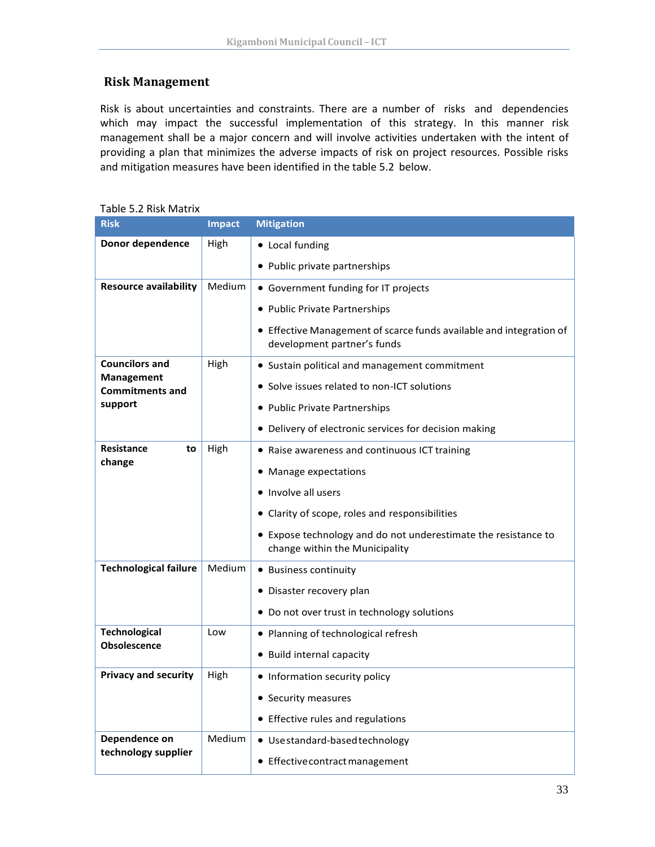# <span id="page-36-0"></span>**Risk Management**

Risk is about uncertainties and constraints. There are a number of risks and dependencies which may impact the successful implementation of this strategy. In this manner risk management shall be a major concern and will involve activities undertaken with the intent of providing a plan that minimizes the adverse impacts of risk on project resources. Possible risks and mitigation measures have been identified in the table 5.2 below.

| <b>Risk</b>                                 | <b>Impact</b> | <b>Mitigation</b>                                                                                  |
|---------------------------------------------|---------------|----------------------------------------------------------------------------------------------------|
| Donor dependence                            | High          | • Local funding                                                                                    |
|                                             |               | • Public private partnerships                                                                      |
| <b>Resource availability</b>                | Medium        | • Government funding for IT projects                                                               |
|                                             |               | • Public Private Partnerships                                                                      |
|                                             |               | • Effective Management of scarce funds available and integration of<br>development partner's funds |
| <b>Councilors and</b>                       | High          | • Sustain political and management commitment                                                      |
| <b>Management</b><br><b>Commitments and</b> |               | • Solve issues related to non-ICT solutions                                                        |
| support                                     |               | • Public Private Partnerships                                                                      |
|                                             |               | • Delivery of electronic services for decision making                                              |
| Resistance<br>to                            | High          | • Raise awareness and continuous ICT training                                                      |
| change                                      |               | • Manage expectations                                                                              |
|                                             |               | • Involve all users                                                                                |
|                                             |               | • Clarity of scope, roles and responsibilities                                                     |
|                                             |               | • Expose technology and do not underestimate the resistance to<br>change within the Municipality   |
| <b>Technological failure</b>                | Medium        | • Business continuity                                                                              |
|                                             |               | • Disaster recovery plan                                                                           |
|                                             |               | • Do not over trust in technology solutions                                                        |
| <b>Technological</b>                        | Low           | • Planning of technological refresh                                                                |
| <b>Obsolescence</b>                         |               | • Build internal capacity                                                                          |
| <b>Privacy and security</b>                 | High          | • Information security policy                                                                      |
|                                             |               | • Security measures                                                                                |
|                                             |               | • Effective rules and regulations                                                                  |
| Dependence on                               | Medium        | · Use standard-based technology                                                                    |
| technology supplier                         |               | ● Effective contract management                                                                    |

Table 5.2 Risk Matrix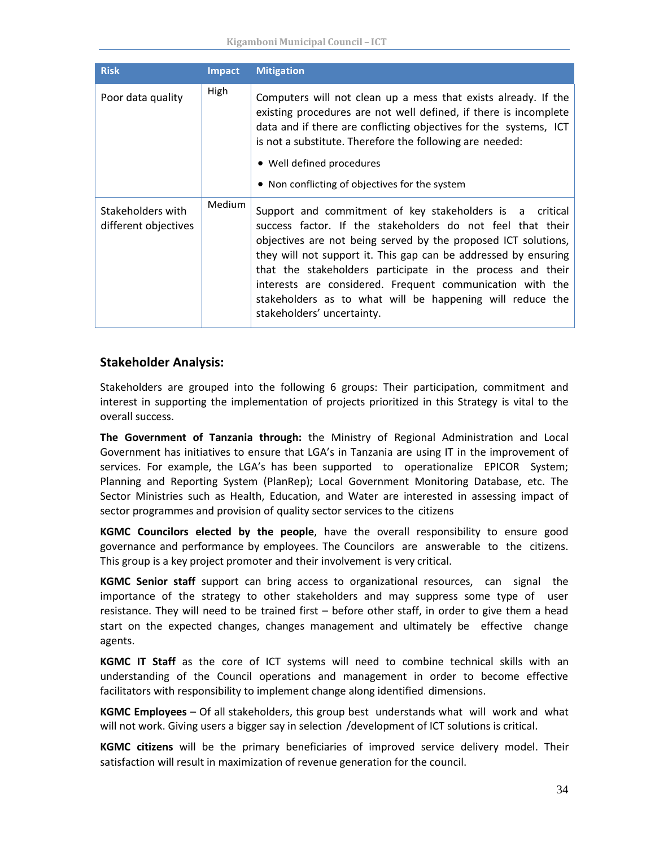| <b>Risk</b>                               | <b>Impact</b> | <b>Mitigation</b>                                                                                                                                                                                                                                                                                                                                                                                                                                                                 |
|-------------------------------------------|---------------|-----------------------------------------------------------------------------------------------------------------------------------------------------------------------------------------------------------------------------------------------------------------------------------------------------------------------------------------------------------------------------------------------------------------------------------------------------------------------------------|
| Poor data quality                         | High          | Computers will not clean up a mess that exists already. If the<br>existing procedures are not well defined, if there is incomplete<br>data and if there are conflicting objectives for the systems, ICT<br>is not a substitute. Therefore the following are needed:<br>• Well defined procedures<br>• Non conflicting of objectives for the system                                                                                                                                |
| Stakeholders with<br>different objectives | Medium        | Support and commitment of key stakeholders is a critical<br>success factor. If the stakeholders do not feel that their<br>objectives are not being served by the proposed ICT solutions,<br>they will not support it. This gap can be addressed by ensuring<br>that the stakeholders participate in the process and their<br>interests are considered. Frequent communication with the<br>stakeholders as to what will be happening will reduce the<br>stakeholders' uncertainty. |

#### **Stakeholder Analysis:**

Stakeholders are grouped into the following 6 groups: Their participation, commitment and interest in supporting the implementation of projects prioritized in this Strategy is vital to the overall success.

**The Government of Tanzania through:** the Ministry of Regional Administration and Local Government has initiatives to ensure that LGA's in Tanzania are using IT in the improvement of services. For example, the LGA's has been supported to operationalize EPICOR System; Planning and Reporting System (PlanRep); Local Government Monitoring Database, etc. The Sector Ministries such as Health, Education, and Water are interested in assessing impact of sector programmes and provision of quality sector services to the citizens

**KGMC Councilors elected by the people**, have the overall responsibility to ensure good governance and performance by employees. The Councilors are answerable to the citizens. This group is a key project promoter and their involvement is very critical.

**KGMC Senior staff** support can bring access to organizational resources, can signal the importance of the strategy to other stakeholders and may suppress some type of user resistance. They will need to be trained first – before other staff, in order to give them a head start on the expected changes, changes management and ultimately be effective change agents.

**KGMC IT Staff** as the core of ICT systems will need to combine technical skills with an understanding of the Council operations and management in order to become effective facilitators with responsibility to implement change along identified dimensions.

**KGMC Employees** – Of all stakeholders, this group best understands what will work and what will not work. Giving users a bigger say in selection /development of ICT solutions is critical.

**KGMC citizens** will be the primary beneficiaries of improved service delivery model. Their satisfaction will result in maximization of revenue generation for the council.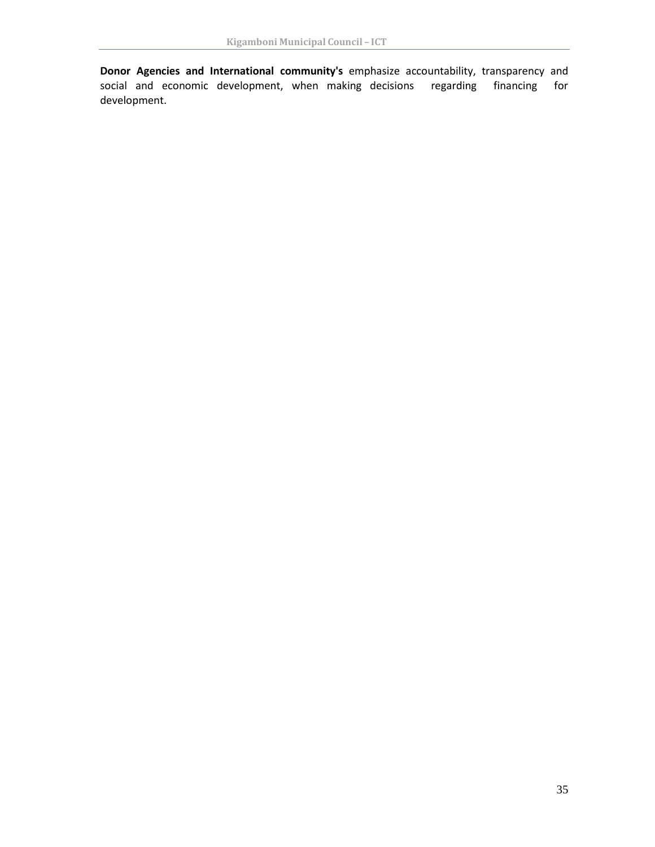**Donor Agencies and International community's** emphasize accountability, transparency and social and economic development, when making decisions regarding financing for development.